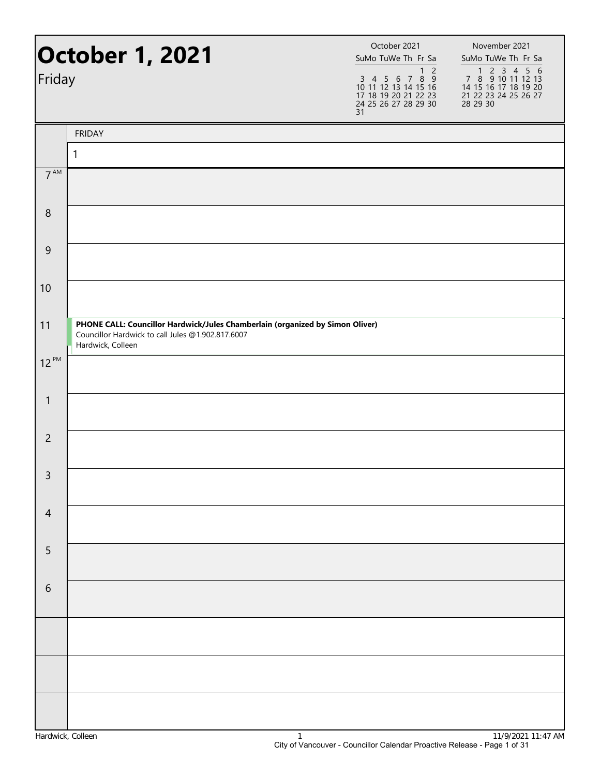| Friday           | <b>October 1, 2021</b>                                                                                                                                  | October 2021<br>SuMo TuWe Th Fr Sa<br>$1\overline{2}$<br>$\begin{array}{cccccc}\n3 & 4 & 5 & 6 & 7 & 8 & 9 \\ 10 & 11 & 12 & 13 & 14 & 15 & 16\n\end{array}$<br>17 18 19 20 21 22 23<br>24 25 26 27 28 29 30<br>31 | November 2021<br>SuMo TuWe Th Fr Sa<br>1 2 3 4 5 6<br>7 8 9 10 11 12 13<br>14 15 16 17 18 19 20<br>21 22 23 24 25 26 27<br>28 29 30 |
|------------------|---------------------------------------------------------------------------------------------------------------------------------------------------------|--------------------------------------------------------------------------------------------------------------------------------------------------------------------------------------------------------------------|-------------------------------------------------------------------------------------------------------------------------------------|
|                  | <b>FRIDAY</b>                                                                                                                                           |                                                                                                                                                                                                                    |                                                                                                                                     |
|                  | $\mathbf{1}$                                                                                                                                            |                                                                                                                                                                                                                    |                                                                                                                                     |
| 7 <sup>AM</sup>  |                                                                                                                                                         |                                                                                                                                                                                                                    |                                                                                                                                     |
| $\boldsymbol{8}$ |                                                                                                                                                         |                                                                                                                                                                                                                    |                                                                                                                                     |
| $\overline{9}$   |                                                                                                                                                         |                                                                                                                                                                                                                    |                                                                                                                                     |
| 10               |                                                                                                                                                         |                                                                                                                                                                                                                    |                                                                                                                                     |
| 11               | PHONE CALL: Councillor Hardwick/Jules Chamberlain (organized by Simon Oliver)<br>Councillor Hardwick to call Jules @1.902.817.6007<br>Hardwick, Colleen |                                                                                                                                                                                                                    |                                                                                                                                     |
| $12^{PM}$        |                                                                                                                                                         |                                                                                                                                                                                                                    |                                                                                                                                     |
| $\mathbf{1}$     |                                                                                                                                                         |                                                                                                                                                                                                                    |                                                                                                                                     |
| $\overline{c}$   |                                                                                                                                                         |                                                                                                                                                                                                                    |                                                                                                                                     |
| $\overline{3}$   |                                                                                                                                                         |                                                                                                                                                                                                                    |                                                                                                                                     |
| $\overline{4}$   |                                                                                                                                                         |                                                                                                                                                                                                                    |                                                                                                                                     |
| 5                |                                                                                                                                                         |                                                                                                                                                                                                                    |                                                                                                                                     |
| $\sqrt{6}$       |                                                                                                                                                         |                                                                                                                                                                                                                    |                                                                                                                                     |
|                  |                                                                                                                                                         |                                                                                                                                                                                                                    |                                                                                                                                     |
|                  |                                                                                                                                                         |                                                                                                                                                                                                                    |                                                                                                                                     |
|                  |                                                                                                                                                         |                                                                                                                                                                                                                    |                                                                                                                                     |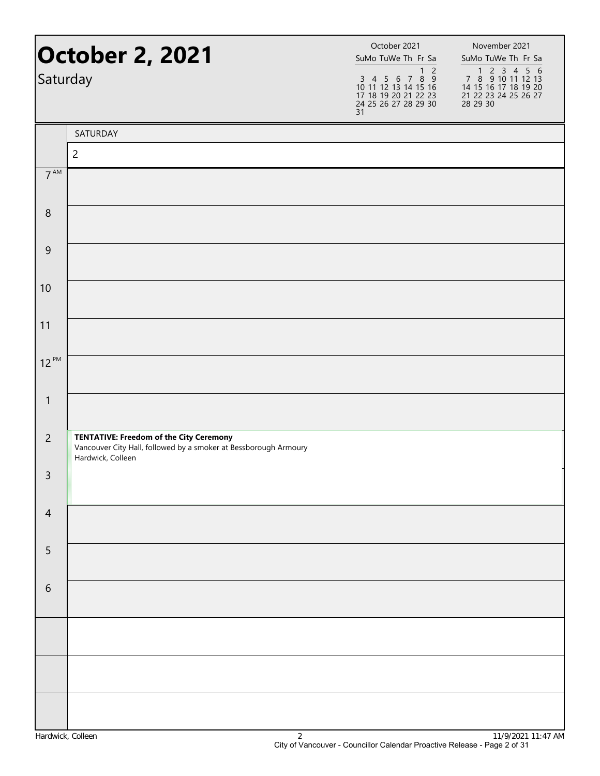| Saturday         | <b>October 2, 2021</b>                                                                                                                  | October 2021<br>SuMo TuWe Th Fr Sa<br>1 <sub>2</sub><br>3 4 5 6 7 8 9<br>10 11 12 13 14 15 16<br>17 18 19 20 21 22 23<br>24 25 26 27 28 29 30<br>31 | November 2021<br>SuMo TuWe Th Fr Sa<br>7 8 9 10 11 12 13<br>14 15 16 17 18 19 20<br>21 22 23 24 25 26 27<br>28 29 30 |
|------------------|-----------------------------------------------------------------------------------------------------------------------------------------|-----------------------------------------------------------------------------------------------------------------------------------------------------|----------------------------------------------------------------------------------------------------------------------|
|                  | SATURDAY                                                                                                                                |                                                                                                                                                     |                                                                                                                      |
|                  | $\overline{2}$                                                                                                                          |                                                                                                                                                     |                                                                                                                      |
| 7 <sup>AM</sup>  |                                                                                                                                         |                                                                                                                                                     |                                                                                                                      |
| $\boldsymbol{8}$ |                                                                                                                                         |                                                                                                                                                     |                                                                                                                      |
| 9                |                                                                                                                                         |                                                                                                                                                     |                                                                                                                      |
| 10               |                                                                                                                                         |                                                                                                                                                     |                                                                                                                      |
| 11               |                                                                                                                                         |                                                                                                                                                     |                                                                                                                      |
| $12^{PM}$        |                                                                                                                                         |                                                                                                                                                     |                                                                                                                      |
| $\mathbf{1}$     |                                                                                                                                         |                                                                                                                                                     |                                                                                                                      |
| $\overline{2}$   | <b>TENTATIVE: Freedom of the City Ceremony</b><br>Vancouver City Hall, followed by a smoker at Bessborough Armoury<br>Hardwick, Colleen |                                                                                                                                                     |                                                                                                                      |
| 3                |                                                                                                                                         |                                                                                                                                                     |                                                                                                                      |
| $\overline{4}$   |                                                                                                                                         |                                                                                                                                                     |                                                                                                                      |
| 5                |                                                                                                                                         |                                                                                                                                                     |                                                                                                                      |
| $\sqrt{6}$       |                                                                                                                                         |                                                                                                                                                     |                                                                                                                      |
|                  |                                                                                                                                         |                                                                                                                                                     |                                                                                                                      |
|                  |                                                                                                                                         |                                                                                                                                                     |                                                                                                                      |
|                  |                                                                                                                                         |                                                                                                                                                     |                                                                                                                      |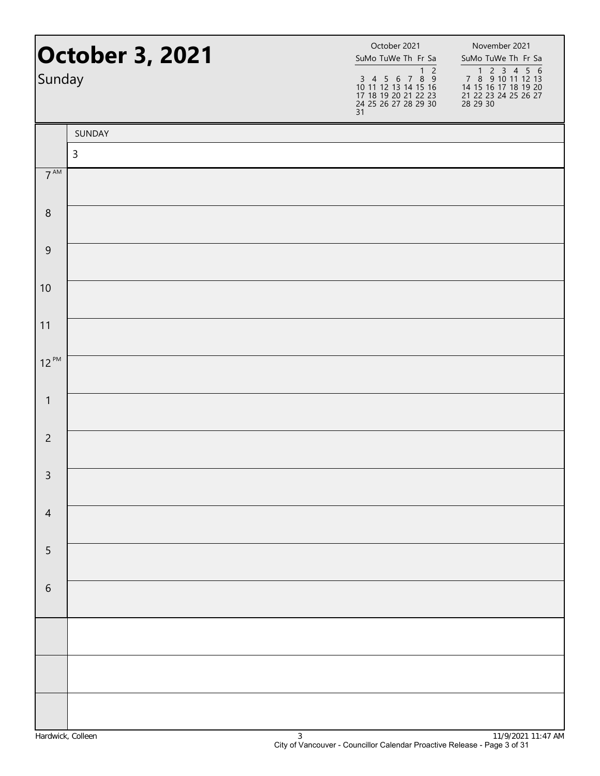| <b>October 3, 2021</b><br>Sunday |              | October 2021<br>SuMo TuWe Th Fr Sa<br>$1\quad2$<br>$\begin{array}{cccccc}\n3 & 4 & 5 & 6 & 7 & 8 & 9 \\ 10 & 11 & 12 & 13 & 14 & 15 & 16\n\end{array}$<br>17 18 19 20 21 22 23<br>24 25 26 27 28 29 30<br>31 | November 2021<br>SuMo TuWe Th Fr Sa<br>1 2 3 4 5 6<br>7 8 9 10 11 12 13<br>14 15 16 17 18 19 20<br>21 22 23 24 25 26 27<br>28 29 30 |
|----------------------------------|--------------|--------------------------------------------------------------------------------------------------------------------------------------------------------------------------------------------------------------|-------------------------------------------------------------------------------------------------------------------------------------|
|                                  | SUNDAY       |                                                                                                                                                                                                              |                                                                                                                                     |
|                                  | $\mathsf{3}$ |                                                                                                                                                                                                              |                                                                                                                                     |
| $7^{\text{AM}}$                  |              |                                                                                                                                                                                                              |                                                                                                                                     |
| $\,8\,$                          |              |                                                                                                                                                                                                              |                                                                                                                                     |
| $\overline{9}$                   |              |                                                                                                                                                                                                              |                                                                                                                                     |
| 10                               |              |                                                                                                                                                                                                              |                                                                                                                                     |
| 11                               |              |                                                                                                                                                                                                              |                                                                                                                                     |
| $12^{PM}$                        |              |                                                                                                                                                                                                              |                                                                                                                                     |
| $\mathbf{1}$                     |              |                                                                                                                                                                                                              |                                                                                                                                     |
| $\overline{2}$                   |              |                                                                                                                                                                                                              |                                                                                                                                     |
| $\mathsf{3}$                     |              |                                                                                                                                                                                                              |                                                                                                                                     |
| $\overline{4}$                   |              |                                                                                                                                                                                                              |                                                                                                                                     |
| 5                                |              |                                                                                                                                                                                                              |                                                                                                                                     |
| $\sqrt{6}$                       |              |                                                                                                                                                                                                              |                                                                                                                                     |
|                                  |              |                                                                                                                                                                                                              |                                                                                                                                     |
|                                  |              |                                                                                                                                                                                                              |                                                                                                                                     |
|                                  |              |                                                                                                                                                                                                              |                                                                                                                                     |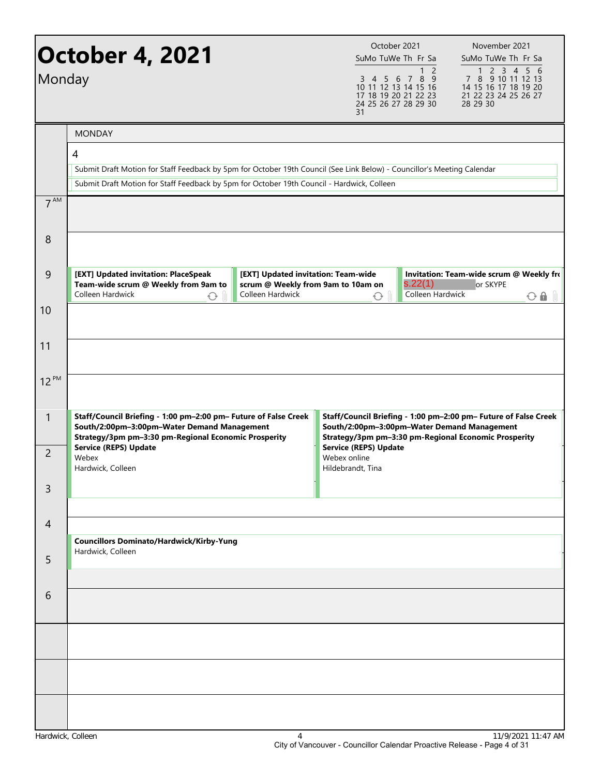| Monday           | <b>October 4, 2021</b>                                                                                                                                                                                                     |                                                                                               | October 2021<br>SuMo TuWe Th Fr Sa<br>17 18 19 20 21 22 23<br>24 25 26 27 28 29 30<br>31 | $\overline{c}$<br>1<br>3 4 5 6 7 8 9<br>10 11 12 13 14 15 16 | November 2021<br>SuMo TuWe Th Fr Sa<br>1 2 3 4 5 6<br>7 8 9 10 11 12 13<br>14 15 16 17 18 19 20<br>21 22 23 24 25 26 27<br>28 29 30 |
|------------------|----------------------------------------------------------------------------------------------------------------------------------------------------------------------------------------------------------------------------|-----------------------------------------------------------------------------------------------|------------------------------------------------------------------------------------------|--------------------------------------------------------------|-------------------------------------------------------------------------------------------------------------------------------------|
|                  | <b>MONDAY</b>                                                                                                                                                                                                              |                                                                                               |                                                                                          |                                                              |                                                                                                                                     |
|                  | 4<br>Submit Draft Motion for Staff Feedback by 5pm for October 19th Council (See Link Below) - Councillor's Meeting Calendar<br>Submit Draft Motion for Staff Feedback by 5pm for October 19th Council - Hardwick, Colleen |                                                                                               |                                                                                          |                                                              |                                                                                                                                     |
| 7 <sup>AM</sup>  |                                                                                                                                                                                                                            |                                                                                               |                                                                                          |                                                              |                                                                                                                                     |
| 8                |                                                                                                                                                                                                                            |                                                                                               |                                                                                          |                                                              |                                                                                                                                     |
| 9                | [EXT] Updated invitation: PlaceSpeak<br>Team-wide scrum @ Weekly from 9am to<br>Colleen Hardwick<br>↷                                                                                                                      | [EXT] Updated invitation: Team-wide<br>scrum @ Weekly from 9am to 10am on<br>Colleen Hardwick | ↔                                                                                        | s.22(1)<br>Colleen Hardwick                                  | Invitation: Team-wide scrum @ Weekly fro<br>or SKYPE<br>$O$ $\theta$ $\theta$                                                       |
| 10               |                                                                                                                                                                                                                            |                                                                                               |                                                                                          |                                                              |                                                                                                                                     |
| 11               |                                                                                                                                                                                                                            |                                                                                               |                                                                                          |                                                              |                                                                                                                                     |
| 12 <sup>PM</sup> |                                                                                                                                                                                                                            |                                                                                               |                                                                                          |                                                              |                                                                                                                                     |
| $\mathbf{1}$     | Staff/Council Briefing - 1:00 pm-2:00 pm- Future of False Creek<br>South/2:00pm-3:00pm-Water Demand Management<br>Strategy/3pm pm-3:30 pm-Regional Economic Prosperity                                                     |                                                                                               | South/2:00pm-3:00pm-Water Demand Management                                              |                                                              | Staff/Council Briefing - 1:00 pm-2:00 pm- Future of False Creek<br>Strategy/3pm pm-3:30 pm-Regional Economic Prosperity             |
| $\overline{2}$   | <b>Service (REPS) Update</b><br>Webex<br>Hardwick, Colleen                                                                                                                                                                 |                                                                                               | <b>Service (REPS) Update</b><br>Webex online<br>Hildebrandt, Tina                        |                                                              |                                                                                                                                     |
| 3                |                                                                                                                                                                                                                            |                                                                                               |                                                                                          |                                                              |                                                                                                                                     |
| 4                |                                                                                                                                                                                                                            |                                                                                               |                                                                                          |                                                              |                                                                                                                                     |
| 5                | <b>Councillors Dominato/Hardwick/Kirby-Yung</b><br>Hardwick, Colleen                                                                                                                                                       |                                                                                               |                                                                                          |                                                              |                                                                                                                                     |
| 6                |                                                                                                                                                                                                                            |                                                                                               |                                                                                          |                                                              |                                                                                                                                     |
|                  |                                                                                                                                                                                                                            |                                                                                               |                                                                                          |                                                              |                                                                                                                                     |
|                  |                                                                                                                                                                                                                            |                                                                                               |                                                                                          |                                                              |                                                                                                                                     |
|                  |                                                                                                                                                                                                                            |                                                                                               |                                                                                          |                                                              |                                                                                                                                     |
|                  |                                                                                                                                                                                                                            |                                                                                               |                                                                                          |                                                              |                                                                                                                                     |
|                  |                                                                                                                                                                                                                            |                                                                                               |                                                                                          |                                                              |                                                                                                                                     |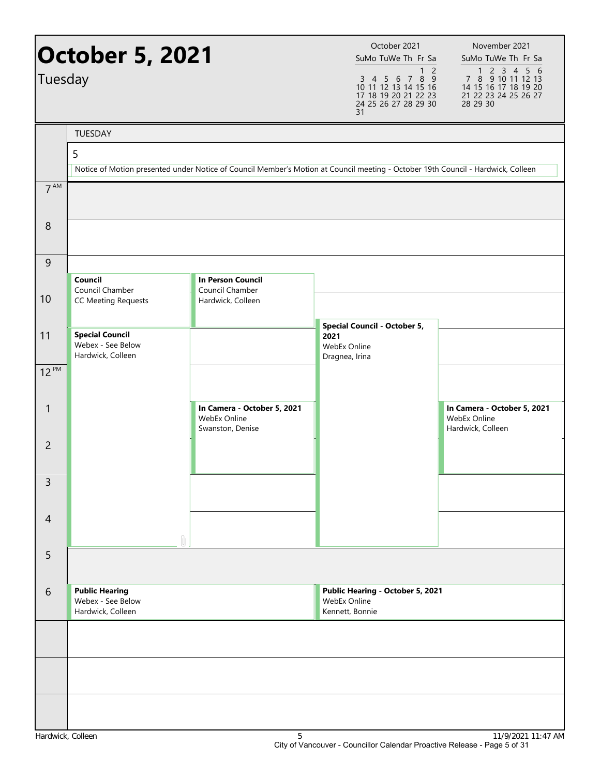| Tuesday           | <b>October 5, 2021</b><br><b>TUESDAY</b>                         |                                                                                                                                  | October 2021<br>SuMo TuWe Th Fr Sa<br>1 <sub>2</sub><br>3 4 5 6 7 8 9<br>10 11 12 13 14 15 16<br>17 18 19 20 21 22 23<br>24 25 26 27 28 29 30<br>31 | November 2021<br>SuMo TuWe Th Fr Sa<br>7 3 4 4 5 6 7 8 9 10 11 12 13<br>14 15 16 17 18 19 20<br>21 22 23 24 25 26 27<br>28 29 30 |
|-------------------|------------------------------------------------------------------|----------------------------------------------------------------------------------------------------------------------------------|-----------------------------------------------------------------------------------------------------------------------------------------------------|----------------------------------------------------------------------------------------------------------------------------------|
|                   | 5                                                                |                                                                                                                                  |                                                                                                                                                     |                                                                                                                                  |
|                   |                                                                  | Notice of Motion presented under Notice of Council Member's Motion at Council meeting - October 19th Council - Hardwick, Colleen |                                                                                                                                                     |                                                                                                                                  |
| 7 <sup>AM</sup>   |                                                                  |                                                                                                                                  |                                                                                                                                                     |                                                                                                                                  |
| 8                 |                                                                  |                                                                                                                                  |                                                                                                                                                     |                                                                                                                                  |
| $\overline{9}$    | Council                                                          | <b>In Person Council</b>                                                                                                         |                                                                                                                                                     |                                                                                                                                  |
| 10                | Council Chamber<br><b>CC Meeting Requests</b>                    | Council Chamber<br>Hardwick, Colleen                                                                                             |                                                                                                                                                     |                                                                                                                                  |
| 11                | <b>Special Council</b><br>Webex - See Below<br>Hardwick, Colleen |                                                                                                                                  | <b>Special Council - October 5,</b><br>2021<br>WebEx Online<br>Dragnea, Irina                                                                       |                                                                                                                                  |
| $12^{PM}$         |                                                                  |                                                                                                                                  |                                                                                                                                                     |                                                                                                                                  |
| 1                 |                                                                  | In Camera - October 5, 2021<br>WebEx Online<br>Swanston, Denise                                                                  |                                                                                                                                                     | In Camera - October 5, 2021<br>WebEx Online<br>Hardwick, Colleen                                                                 |
| $\overline{2}$    |                                                                  |                                                                                                                                  |                                                                                                                                                     |                                                                                                                                  |
| 3                 |                                                                  |                                                                                                                                  |                                                                                                                                                     |                                                                                                                                  |
| $\overline{4}$    |                                                                  |                                                                                                                                  |                                                                                                                                                     |                                                                                                                                  |
| 5                 |                                                                  |                                                                                                                                  |                                                                                                                                                     |                                                                                                                                  |
| 6                 | <b>Public Hearing</b><br>Webex - See Below<br>Hardwick, Colleen  |                                                                                                                                  | Public Hearing - October 5, 2021<br>WebEx Online<br>Kennett, Bonnie                                                                                 |                                                                                                                                  |
|                   |                                                                  |                                                                                                                                  |                                                                                                                                                     |                                                                                                                                  |
|                   |                                                                  |                                                                                                                                  |                                                                                                                                                     |                                                                                                                                  |
|                   |                                                                  |                                                                                                                                  |                                                                                                                                                     |                                                                                                                                  |
| Hardwick, Colleen |                                                                  | 5                                                                                                                                | City of Vancouver - Councillor Calendar Proactive Release - Page 5 of 31                                                                            | 11/9/2021 11:47 AM                                                                                                               |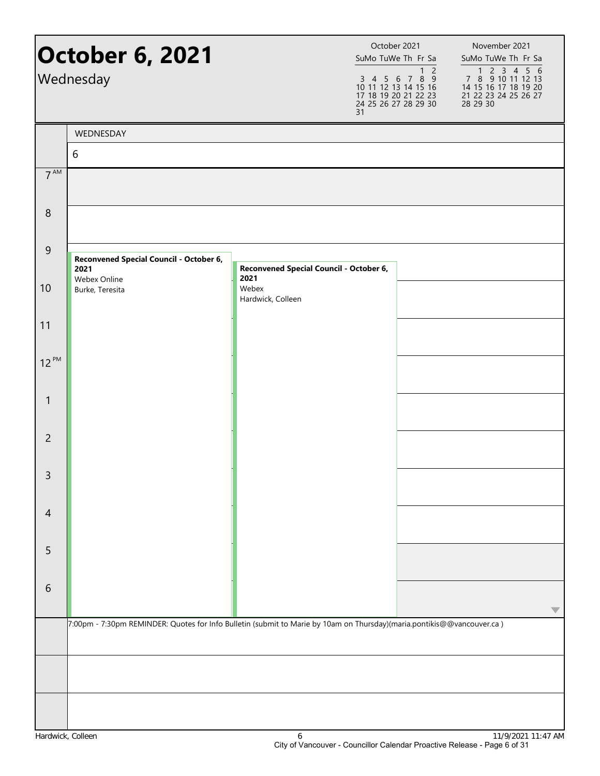|                 | <b>October 6, 2021</b><br>Wednesday                                                                                    |                                                 | October 2021<br>SuMo TuWe Th Fr Sa<br>$3 \quad 4 \quad 5 \quad 6$<br>10 11 12 13 14 15 16<br>17 18 19 20 21 22 23<br>24 25 26 27 28 29 30<br>31 | $\overline{2}$<br>1<br>7 8 9 | November 2021<br>SuMo TuWe Th Fr Sa<br>7 8 9 10 11 12 13<br>14 15 16 17 18 19 20<br>21 22 23 24 25 26 27<br>28 29 30 |
|-----------------|------------------------------------------------------------------------------------------------------------------------|-------------------------------------------------|-------------------------------------------------------------------------------------------------------------------------------------------------|------------------------------|----------------------------------------------------------------------------------------------------------------------|
|                 | WEDNESDAY                                                                                                              |                                                 |                                                                                                                                                 |                              |                                                                                                                      |
|                 | 6                                                                                                                      |                                                 |                                                                                                                                                 |                              |                                                                                                                      |
| 7 <sup>AM</sup> |                                                                                                                        |                                                 |                                                                                                                                                 |                              |                                                                                                                      |
| $8\phantom{1}$  |                                                                                                                        |                                                 |                                                                                                                                                 |                              |                                                                                                                      |
| $\overline{9}$  | Reconvened Special Council - October 6,<br>2021<br>Webex Online                                                        | Reconvened Special Council - October 6,<br>2021 |                                                                                                                                                 |                              |                                                                                                                      |
| 10              | Burke, Teresita                                                                                                        | Webex<br>Hardwick, Colleen                      |                                                                                                                                                 |                              |                                                                                                                      |
| 11              |                                                                                                                        |                                                 |                                                                                                                                                 |                              |                                                                                                                      |
| $12^{PM}$       |                                                                                                                        |                                                 |                                                                                                                                                 |                              |                                                                                                                      |
| $\mathbf{1}$    |                                                                                                                        |                                                 |                                                                                                                                                 |                              |                                                                                                                      |
| $\overline{2}$  |                                                                                                                        |                                                 |                                                                                                                                                 |                              |                                                                                                                      |
| 3               |                                                                                                                        |                                                 |                                                                                                                                                 |                              |                                                                                                                      |
| $\overline{4}$  |                                                                                                                        |                                                 |                                                                                                                                                 |                              |                                                                                                                      |
| 5               |                                                                                                                        |                                                 |                                                                                                                                                 |                              |                                                                                                                      |
| $\sqrt{6}$      |                                                                                                                        |                                                 |                                                                                                                                                 |                              |                                                                                                                      |
|                 | 7:00pm - 7:30pm REMINDER: Quotes for Info Bulletin (submit to Marie by 10am on Thursday)(maria.pontikis@@vancouver.ca) |                                                 |                                                                                                                                                 |                              |                                                                                                                      |
|                 |                                                                                                                        |                                                 |                                                                                                                                                 |                              |                                                                                                                      |
|                 |                                                                                                                        |                                                 |                                                                                                                                                 |                              |                                                                                                                      |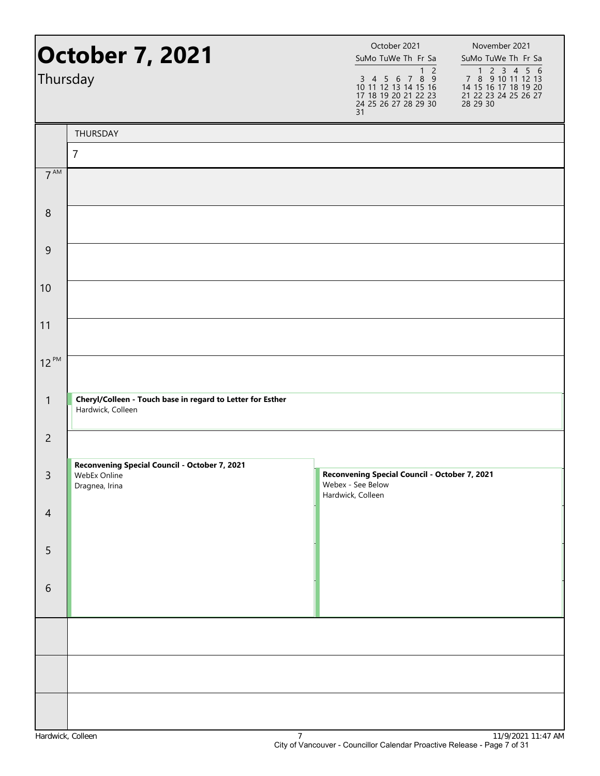| <b>October 7, 2021</b><br>Thursday |                                                                                 | October 2021<br>SuMo TuWe Th Fr Sa<br>1 <sub>2</sub><br>3 4 5 6 7 8 9<br>10 11 12 13 14 15 16<br>17 18 19 20 21 22 23<br>24 25 26 27 28 29 30<br>31 | November 2021<br>SuMo TuWe Th Fr Sa<br>1 2 3 4 5 6<br>7 8 9 10 11 12 13<br>14 15 16 17 18 19 20<br>21 22 23 24 25 26 27<br>28 29 30 |
|------------------------------------|---------------------------------------------------------------------------------|-----------------------------------------------------------------------------------------------------------------------------------------------------|-------------------------------------------------------------------------------------------------------------------------------------|
|                                    | THURSDAY                                                                        |                                                                                                                                                     |                                                                                                                                     |
|                                    | $\overline{7}$                                                                  |                                                                                                                                                     |                                                                                                                                     |
| 7 <sup>AM</sup>                    |                                                                                 |                                                                                                                                                     |                                                                                                                                     |
| $\,8\,$                            |                                                                                 |                                                                                                                                                     |                                                                                                                                     |
| $\overline{9}$                     |                                                                                 |                                                                                                                                                     |                                                                                                                                     |
| 10                                 |                                                                                 |                                                                                                                                                     |                                                                                                                                     |
| 11                                 |                                                                                 |                                                                                                                                                     |                                                                                                                                     |
| $12^{PM}$                          |                                                                                 |                                                                                                                                                     |                                                                                                                                     |
| $\mathbf{1}$                       | Cheryl/Colleen - Touch base in regard to Letter for Esther<br>Hardwick, Colleen |                                                                                                                                                     |                                                                                                                                     |
| $\overline{2}$                     |                                                                                 |                                                                                                                                                     |                                                                                                                                     |
| $\mathsf{3}$                       | Reconvening Special Council - October 7, 2021<br>WebEx Online<br>Dragnea, Irina | Reconvening Special Council - October 7, 2021<br>Webex - See Below<br>Hardwick, Colleen                                                             |                                                                                                                                     |
| $\overline{4}$                     |                                                                                 |                                                                                                                                                     |                                                                                                                                     |
| 5                                  |                                                                                 |                                                                                                                                                     |                                                                                                                                     |
| 6                                  |                                                                                 |                                                                                                                                                     |                                                                                                                                     |
|                                    |                                                                                 |                                                                                                                                                     |                                                                                                                                     |
|                                    |                                                                                 |                                                                                                                                                     |                                                                                                                                     |
|                                    |                                                                                 |                                                                                                                                                     |                                                                                                                                     |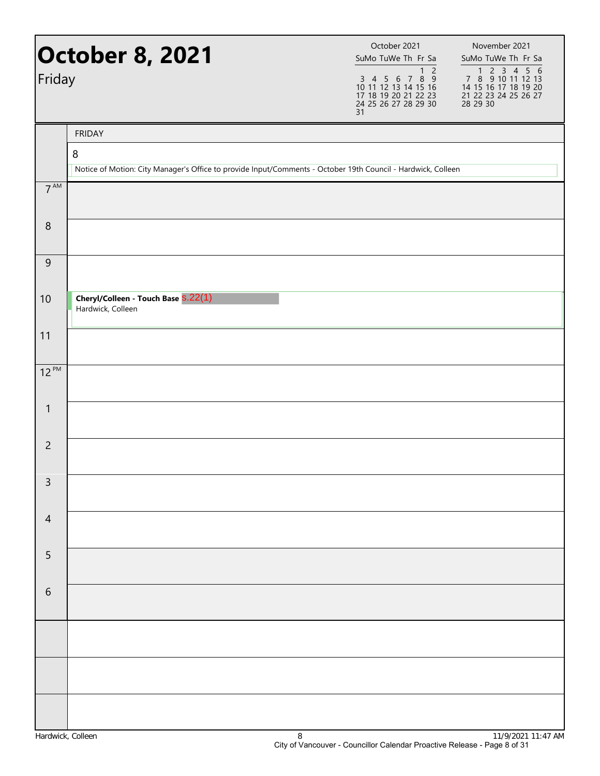| Friday          | <b>October 8, 2021</b>                                                                                            | October 2021<br>SuMo TuWe Th Fr Sa<br>1 <sub>2</sub><br>3 4 5 6 7 8 9<br>10 11 12 13 14 15 16<br>17 18 19 20 21 22 23<br>24 25 26 27 28 29 30<br>31 | November 2021<br>SuMo TuWe Th Fr Sa<br>1 2 3 4 5 6<br>7 8 9 10 11 12 13<br>14 15 16 17 18 19 20<br>21 22 23 24 25 26 27<br>28 29 30 |
|-----------------|-------------------------------------------------------------------------------------------------------------------|-----------------------------------------------------------------------------------------------------------------------------------------------------|-------------------------------------------------------------------------------------------------------------------------------------|
|                 | <b>FRIDAY</b>                                                                                                     |                                                                                                                                                     |                                                                                                                                     |
|                 | 8<br>Notice of Motion: City Manager's Office to provide Input/Comments - October 19th Council - Hardwick, Colleen |                                                                                                                                                     |                                                                                                                                     |
| 7 <sup>AM</sup> |                                                                                                                   |                                                                                                                                                     |                                                                                                                                     |
|                 |                                                                                                                   |                                                                                                                                                     |                                                                                                                                     |
| $\,8\,$         |                                                                                                                   |                                                                                                                                                     |                                                                                                                                     |
| $\overline{9}$  |                                                                                                                   |                                                                                                                                                     |                                                                                                                                     |
| 10              | Cheryl/Colleen - Touch Base S.22(1)<br>Hardwick, Colleen                                                          |                                                                                                                                                     |                                                                                                                                     |
| 11              |                                                                                                                   |                                                                                                                                                     |                                                                                                                                     |
| $12^{PM}$       |                                                                                                                   |                                                                                                                                                     |                                                                                                                                     |
| 1               |                                                                                                                   |                                                                                                                                                     |                                                                                                                                     |
| $\overline{2}$  |                                                                                                                   |                                                                                                                                                     |                                                                                                                                     |
| 3               |                                                                                                                   |                                                                                                                                                     |                                                                                                                                     |
| $\overline{4}$  |                                                                                                                   |                                                                                                                                                     |                                                                                                                                     |
| 5               |                                                                                                                   |                                                                                                                                                     |                                                                                                                                     |
| 6               |                                                                                                                   |                                                                                                                                                     |                                                                                                                                     |
|                 |                                                                                                                   |                                                                                                                                                     |                                                                                                                                     |
|                 |                                                                                                                   |                                                                                                                                                     |                                                                                                                                     |
|                 |                                                                                                                   |                                                                                                                                                     |                                                                                                                                     |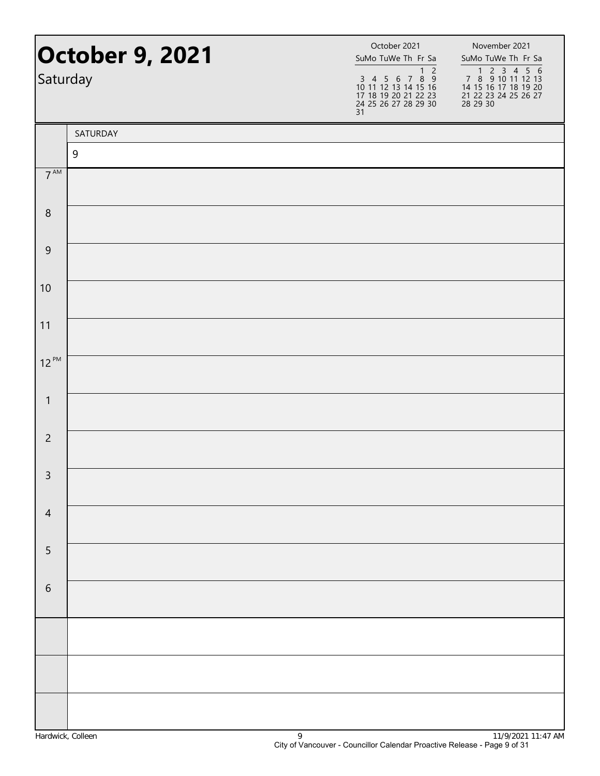| <b>October 9, 2021</b><br>Saturday |          | October 2021<br>SuMo TuWe Th Fr Sa<br>$1\quad2$<br>$\begin{array}{cccccc}\n3 & 4 & 5 & 6 & 7 & 8 & 9 \\ 10 & 11 & 12 & 13 & 14 & 15 & 16\n\end{array}$<br>17 18 19 20 21 22 23<br>24 25 26 27 28 29 30<br>31 | November 2021<br>SuMo TuWe Th Fr Sa<br>1 2 3 4 5 6<br>7 8 9 10 11 12 13<br>14 15 16 17 18 19 20<br>21 22 23 24 25 26 27<br>28 29 30 |
|------------------------------------|----------|--------------------------------------------------------------------------------------------------------------------------------------------------------------------------------------------------------------|-------------------------------------------------------------------------------------------------------------------------------------|
|                                    | SATURDAY |                                                                                                                                                                                                              |                                                                                                                                     |
|                                    | 9        |                                                                                                                                                                                                              |                                                                                                                                     |
| 7 <sup>AM</sup>                    |          |                                                                                                                                                                                                              |                                                                                                                                     |
| $\,8\,$                            |          |                                                                                                                                                                                                              |                                                                                                                                     |
| $\overline{9}$                     |          |                                                                                                                                                                                                              |                                                                                                                                     |
| 10                                 |          |                                                                                                                                                                                                              |                                                                                                                                     |
| 11                                 |          |                                                                                                                                                                                                              |                                                                                                                                     |
| $12^{PM}$                          |          |                                                                                                                                                                                                              |                                                                                                                                     |
| $\mathbf{1}$                       |          |                                                                                                                                                                                                              |                                                                                                                                     |
| $\overline{2}$                     |          |                                                                                                                                                                                                              |                                                                                                                                     |
| $\mathsf{3}$                       |          |                                                                                                                                                                                                              |                                                                                                                                     |
| $\overline{4}$                     |          |                                                                                                                                                                                                              |                                                                                                                                     |
| 5                                  |          |                                                                                                                                                                                                              |                                                                                                                                     |
| $\sqrt{6}$                         |          |                                                                                                                                                                                                              |                                                                                                                                     |
|                                    |          |                                                                                                                                                                                                              |                                                                                                                                     |
|                                    |          |                                                                                                                                                                                                              |                                                                                                                                     |
|                                    |          |                                                                                                                                                                                                              |                                                                                                                                     |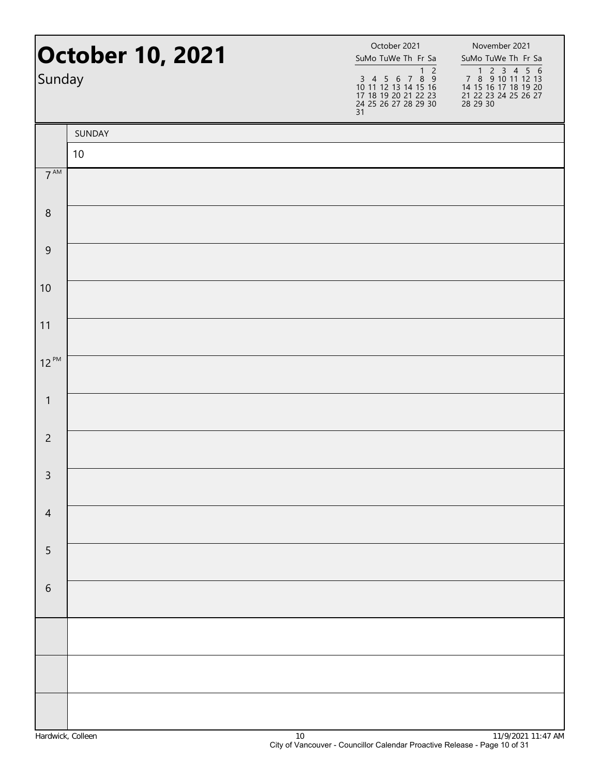| <b>October 10, 2021</b><br>Sunday |        | October 2021<br>SuMo TuWe Th Fr Sa<br>$1\overline{2}$<br>3 4 5 6 7 8 9<br>10 11 12 13 14 15 16<br>17 18 19 20 21 22 23<br>24 25 26 27 28 29 30<br>31 | November 2021<br>SuMo TuWe Th Fr Sa<br>1 2 3 4 5 6<br>7 8 9 10 11 12 13<br>14 15 16 17 18 19 20<br>21 22 23 24 25 26 27<br>28 29 30 |  |
|-----------------------------------|--------|------------------------------------------------------------------------------------------------------------------------------------------------------|-------------------------------------------------------------------------------------------------------------------------------------|--|
|                                   | SUNDAY |                                                                                                                                                      |                                                                                                                                     |  |
|                                   | 10     |                                                                                                                                                      |                                                                                                                                     |  |
| 7 <sup>AM</sup>                   |        |                                                                                                                                                      |                                                                                                                                     |  |
| $\,8\,$                           |        |                                                                                                                                                      |                                                                                                                                     |  |
| $\overline{9}$                    |        |                                                                                                                                                      |                                                                                                                                     |  |
| 10                                |        |                                                                                                                                                      |                                                                                                                                     |  |
| 11                                |        |                                                                                                                                                      |                                                                                                                                     |  |
| $12^{PM}$                         |        |                                                                                                                                                      |                                                                                                                                     |  |
| $\mathbf{1}$                      |        |                                                                                                                                                      |                                                                                                                                     |  |
| $\overline{2}$                    |        |                                                                                                                                                      |                                                                                                                                     |  |
| $\mathsf{3}$                      |        |                                                                                                                                                      |                                                                                                                                     |  |
| $\overline{4}$                    |        |                                                                                                                                                      |                                                                                                                                     |  |
| 5                                 |        |                                                                                                                                                      |                                                                                                                                     |  |
| $\,$ 6 $\,$                       |        |                                                                                                                                                      |                                                                                                                                     |  |
|                                   |        |                                                                                                                                                      |                                                                                                                                     |  |
|                                   |        |                                                                                                                                                      |                                                                                                                                     |  |
|                                   |        |                                                                                                                                                      |                                                                                                                                     |  |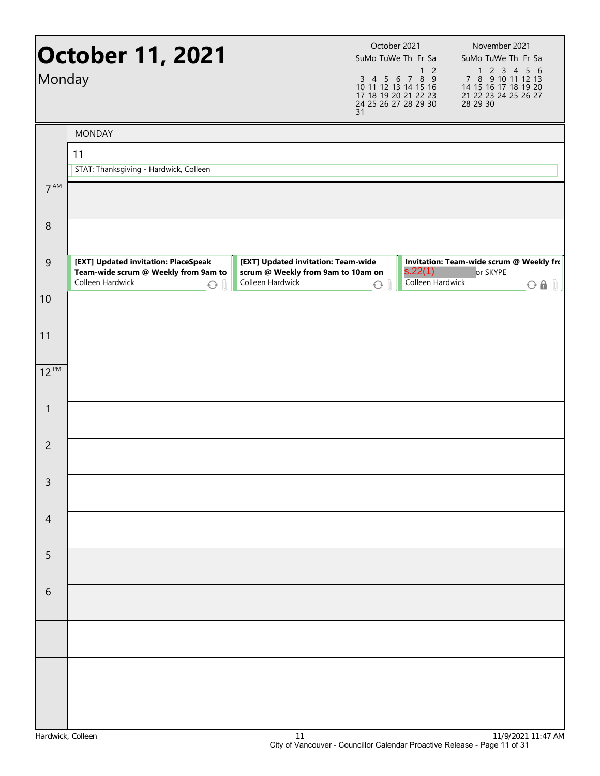| Monday          | <b>October 11, 2021</b>                                                                                        |                                                                                               | October 2021<br>SuMo TuWe Th Fr Sa<br>3 4 5 6 7 8 9<br>10 11 12 13 14 15 16<br>17 18 19 20 21 22 23<br>24 25 26 27 28 29 30<br>31 | 1 <sub>2</sub>              | November 2021<br>SuMo TuWe Th Fr Sa<br>7 8 9 10 11 12 13<br>14 15 16 17 18 19 20<br>21 22 23 24 25 26 27<br>28 29 30 |
|-----------------|----------------------------------------------------------------------------------------------------------------|-----------------------------------------------------------------------------------------------|-----------------------------------------------------------------------------------------------------------------------------------|-----------------------------|----------------------------------------------------------------------------------------------------------------------|
|                 | <b>MONDAY</b>                                                                                                  |                                                                                               |                                                                                                                                   |                             |                                                                                                                      |
|                 | 11                                                                                                             |                                                                                               |                                                                                                                                   |                             |                                                                                                                      |
|                 | STAT: Thanksgiving - Hardwick, Colleen                                                                         |                                                                                               |                                                                                                                                   |                             |                                                                                                                      |
| 7 <sup>AM</sup> |                                                                                                                |                                                                                               |                                                                                                                                   |                             |                                                                                                                      |
| $8\phantom{1}$  |                                                                                                                |                                                                                               |                                                                                                                                   |                             |                                                                                                                      |
| $\overline{9}$  | [EXT] Updated invitation: PlaceSpeak<br>Team-wide scrum @ Weekly from 9am to<br>Colleen Hardwick<br>$\bigcirc$ | [EXT] Updated invitation: Team-wide<br>scrum @ Weekly from 9am to 10am on<br>Colleen Hardwick | $\bigcirc$                                                                                                                        | s.22(1)<br>Colleen Hardwick | Invitation: Team-wide scrum @ Weekly fro<br>or SKYPE<br>$O$ $\theta$ $\theta$                                        |
| 10              |                                                                                                                |                                                                                               |                                                                                                                                   |                             |                                                                                                                      |
| 11              |                                                                                                                |                                                                                               |                                                                                                                                   |                             |                                                                                                                      |
| $12^{PM}$       |                                                                                                                |                                                                                               |                                                                                                                                   |                             |                                                                                                                      |
| 1               |                                                                                                                |                                                                                               |                                                                                                                                   |                             |                                                                                                                      |
| $\overline{2}$  |                                                                                                                |                                                                                               |                                                                                                                                   |                             |                                                                                                                      |
| 3               |                                                                                                                |                                                                                               |                                                                                                                                   |                             |                                                                                                                      |
| $\overline{4}$  |                                                                                                                |                                                                                               |                                                                                                                                   |                             |                                                                                                                      |
| 5               |                                                                                                                |                                                                                               |                                                                                                                                   |                             |                                                                                                                      |
| 6               |                                                                                                                |                                                                                               |                                                                                                                                   |                             |                                                                                                                      |
|                 |                                                                                                                |                                                                                               |                                                                                                                                   |                             |                                                                                                                      |
|                 |                                                                                                                |                                                                                               |                                                                                                                                   |                             |                                                                                                                      |
|                 |                                                                                                                |                                                                                               |                                                                                                                                   |                             |                                                                                                                      |
|                 |                                                                                                                |                                                                                               |                                                                                                                                   |                             |                                                                                                                      |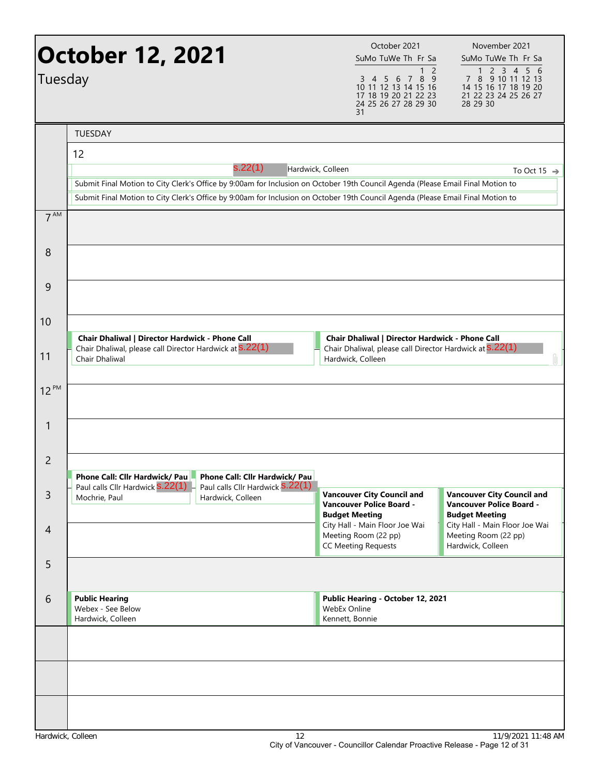| Tuesday           | October 12, 2021                                                                                                                     |                                                              | October 2021<br>SuMo TuWe Th Fr Sa<br>1<br>2<br>8 9<br>3<br>6<br>7<br>$\overline{4}$<br>- 5<br>10 11 12 13 14 15 16<br>17 18 19 20 21 22 23<br>24 25 26 27 28 29 30<br>31                                                                                          | November 2021<br>SuMo TuWe Th Fr Sa<br>2 3 4 5 6<br>$\mathbf{1}$<br>7 8 9 10 11 12 13<br>14 15 16 17 18 19 20<br>21 22 23 24 25 26 27<br>28 29 30 |
|-------------------|--------------------------------------------------------------------------------------------------------------------------------------|--------------------------------------------------------------|--------------------------------------------------------------------------------------------------------------------------------------------------------------------------------------------------------------------------------------------------------------------|---------------------------------------------------------------------------------------------------------------------------------------------------|
|                   | <b>TUESDAY</b>                                                                                                                       |                                                              |                                                                                                                                                                                                                                                                    |                                                                                                                                                   |
|                   | 12                                                                                                                                   |                                                              |                                                                                                                                                                                                                                                                    |                                                                                                                                                   |
|                   |                                                                                                                                      | s.22(1)                                                      | Hardwick, Colleen                                                                                                                                                                                                                                                  | To Oct 15 $\Rightarrow$                                                                                                                           |
|                   |                                                                                                                                      |                                                              | Submit Final Motion to City Clerk's Office by 9:00am for Inclusion on October 19th Council Agenda (Please Email Final Motion to<br>Submit Final Motion to City Clerk's Office by 9:00am for Inclusion on October 19th Council Agenda (Please Email Final Motion to |                                                                                                                                                   |
| 7 <sup>AM</sup>   |                                                                                                                                      |                                                              |                                                                                                                                                                                                                                                                    |                                                                                                                                                   |
| 8                 |                                                                                                                                      |                                                              |                                                                                                                                                                                                                                                                    |                                                                                                                                                   |
| 9                 |                                                                                                                                      |                                                              |                                                                                                                                                                                                                                                                    |                                                                                                                                                   |
| 10                |                                                                                                                                      |                                                              |                                                                                                                                                                                                                                                                    |                                                                                                                                                   |
| 11                | Chair Dhaliwal   Director Hardwick - Phone Call<br>Chair Dhaliwal, please call Director Hardwick at S.22(1)<br><b>Chair Dhaliwal</b> |                                                              | Chair Dhaliwal   Director Hardwick - Phone Call<br>Chair Dhaliwal, please call Director Hardwick at S.22(1)<br>Hardwick, Colleen                                                                                                                                   | Ù                                                                                                                                                 |
| 12 PM             |                                                                                                                                      |                                                              |                                                                                                                                                                                                                                                                    |                                                                                                                                                   |
| 1                 |                                                                                                                                      |                                                              |                                                                                                                                                                                                                                                                    |                                                                                                                                                   |
| 2                 | Phone Call: Cllr Hardwick/ Pau                                                                                                       | Phone Call: Cllr Hardwick/ Pau                               |                                                                                                                                                                                                                                                                    |                                                                                                                                                   |
| $\mathsf{3}$      | Paul calls Cllr Hardwick <b>S.22(1)</b><br>Mochrie, Paul                                                                             | Paul calls Cllr Hardwick <b>S.22(1)</b><br>Hardwick, Colleen | <b>Vancouver City Council and</b><br><b>Vancouver Police Board -</b><br><b>Budget Meeting</b>                                                                                                                                                                      | <b>Vancouver City Council and</b><br><b>Vancouver Police Board -</b><br><b>Budget Meeting</b>                                                     |
| 4                 |                                                                                                                                      |                                                              | City Hall - Main Floor Joe Wai<br>Meeting Room (22 pp)<br><b>CC Meeting Requests</b>                                                                                                                                                                               | City Hall - Main Floor Joe Wai<br>Meeting Room (22 pp)<br>Hardwick, Colleen                                                                       |
| 5                 |                                                                                                                                      |                                                              |                                                                                                                                                                                                                                                                    |                                                                                                                                                   |
| 6                 | <b>Public Hearing</b><br>Webex - See Below<br>Hardwick, Colleen                                                                      |                                                              | Public Hearing - October 12, 2021<br>WebEx Online<br>Kennett, Bonnie                                                                                                                                                                                               |                                                                                                                                                   |
|                   |                                                                                                                                      |                                                              |                                                                                                                                                                                                                                                                    |                                                                                                                                                   |
|                   |                                                                                                                                      |                                                              |                                                                                                                                                                                                                                                                    |                                                                                                                                                   |
|                   |                                                                                                                                      |                                                              |                                                                                                                                                                                                                                                                    |                                                                                                                                                   |
| Hardwick, Colleen |                                                                                                                                      | 12                                                           |                                                                                                                                                                                                                                                                    | 11/9/2021 11:48 AM                                                                                                                                |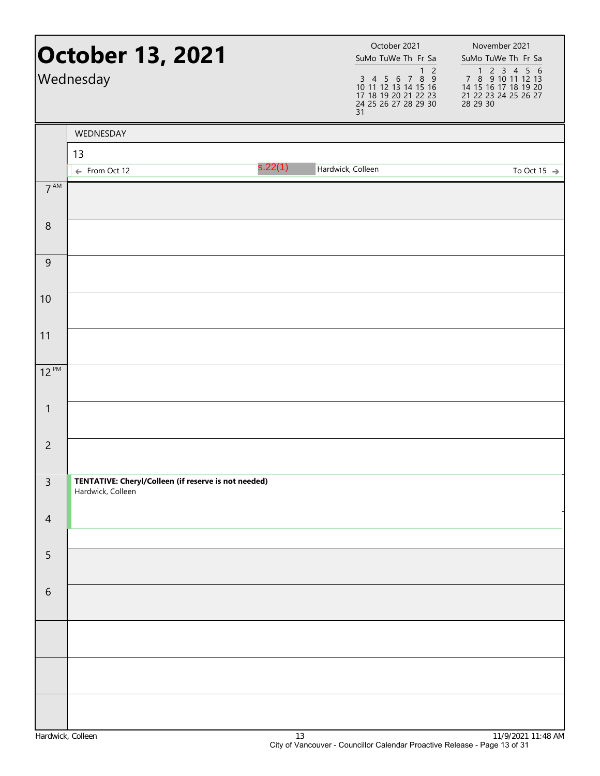|                 | <b>October 13, 2021</b><br>Wednesday                                      |         | October 2021<br>SuMo TuWe Th Fr Sa<br>3 4 5 6 7 8 9<br>10 11 12 13 14 15 16<br>17 18 19 20 21 22 23<br>24 25 26 27 28 29 30<br>31 | November 2021<br>SuMo TuWe Th Fr Sa<br>$1\overline{2}$<br>7 8 9 10 11 12 13<br>14 15 16 17 18 19 20<br>21 22 23 24 25 26 27<br>28 29 30 |
|-----------------|---------------------------------------------------------------------------|---------|-----------------------------------------------------------------------------------------------------------------------------------|-----------------------------------------------------------------------------------------------------------------------------------------|
|                 | WEDNESDAY                                                                 |         |                                                                                                                                   |                                                                                                                                         |
|                 | 13                                                                        |         |                                                                                                                                   |                                                                                                                                         |
|                 | ← From Oct 12                                                             | s.22(1) | Hardwick, Colleen                                                                                                                 | To Oct 15 $\rightarrow$                                                                                                                 |
| $7^{\text{AM}}$ |                                                                           |         |                                                                                                                                   |                                                                                                                                         |
| $\,8\,$         |                                                                           |         |                                                                                                                                   |                                                                                                                                         |
| 9               |                                                                           |         |                                                                                                                                   |                                                                                                                                         |
| 10              |                                                                           |         |                                                                                                                                   |                                                                                                                                         |
| 11              |                                                                           |         |                                                                                                                                   |                                                                                                                                         |
| $12^{PM}$       |                                                                           |         |                                                                                                                                   |                                                                                                                                         |
| 1               |                                                                           |         |                                                                                                                                   |                                                                                                                                         |
| $\overline{2}$  |                                                                           |         |                                                                                                                                   |                                                                                                                                         |
| $\overline{3}$  | TENTATIVE: Cheryl/Colleen (if reserve is not needed)<br>Hardwick, Colleen |         |                                                                                                                                   |                                                                                                                                         |
| $\overline{4}$  |                                                                           |         |                                                                                                                                   |                                                                                                                                         |
| $\overline{5}$  |                                                                           |         |                                                                                                                                   |                                                                                                                                         |
| 6               |                                                                           |         |                                                                                                                                   |                                                                                                                                         |
|                 |                                                                           |         |                                                                                                                                   |                                                                                                                                         |
|                 |                                                                           |         |                                                                                                                                   |                                                                                                                                         |
|                 |                                                                           |         |                                                                                                                                   |                                                                                                                                         |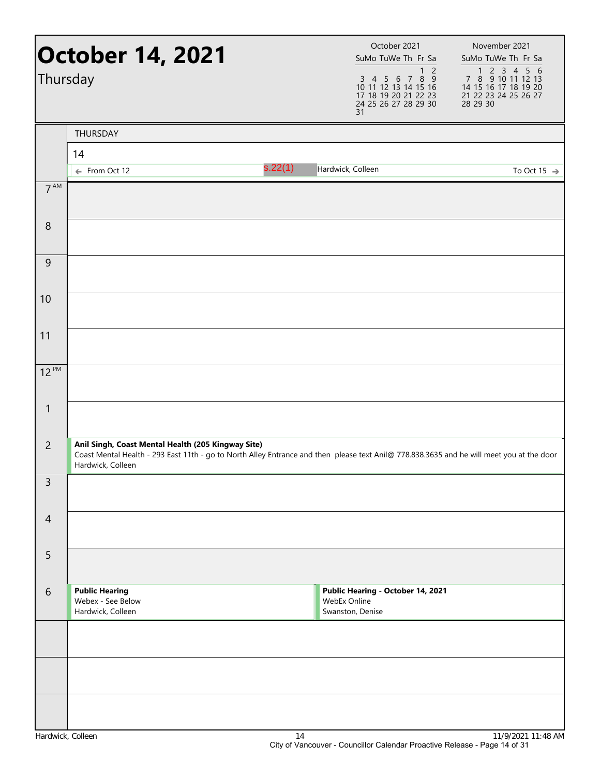| Thursday          | October 14, 2021                                                                                                                                                                                                     |         | October 2021<br>SuMo TuWe Th Fr Sa<br>1 <sub>2</sub><br>3 4 5 6 7 8 9<br>10 11 12 13 14 15 16<br>17 18 19 20 21 22 23<br>24 25 26 27 28 29 30<br>31 | November 2021<br>SuMo TuWe Th Fr Sa<br>7 8 9 10 11 12 13<br>14 15 16 17 18 19 20<br>21 22 23 24 25 26 27<br>28 29 30 |
|-------------------|----------------------------------------------------------------------------------------------------------------------------------------------------------------------------------------------------------------------|---------|-----------------------------------------------------------------------------------------------------------------------------------------------------|----------------------------------------------------------------------------------------------------------------------|
|                   | THURSDAY                                                                                                                                                                                                             |         |                                                                                                                                                     |                                                                                                                      |
|                   | 14                                                                                                                                                                                                                   |         |                                                                                                                                                     |                                                                                                                      |
|                   | ← From Oct 12                                                                                                                                                                                                        | s.22(1) | Hardwick, Colleen                                                                                                                                   | To Oct 15 $\rightarrow$                                                                                              |
| 7 <sup>AM</sup>   |                                                                                                                                                                                                                      |         |                                                                                                                                                     |                                                                                                                      |
| 8                 |                                                                                                                                                                                                                      |         |                                                                                                                                                     |                                                                                                                      |
| 9                 |                                                                                                                                                                                                                      |         |                                                                                                                                                     |                                                                                                                      |
| 10                |                                                                                                                                                                                                                      |         |                                                                                                                                                     |                                                                                                                      |
| 11                |                                                                                                                                                                                                                      |         |                                                                                                                                                     |                                                                                                                      |
| $12^{PM}$         |                                                                                                                                                                                                                      |         |                                                                                                                                                     |                                                                                                                      |
| 1                 |                                                                                                                                                                                                                      |         |                                                                                                                                                     |                                                                                                                      |
| $\overline{2}$    | Anil Singh, Coast Mental Health (205 Kingway Site)<br>Coast Mental Health - 293 East 11th - go to North Alley Entrance and then please text Anil@ 778.838.3635 and he will meet you at the door<br>Hardwick, Colleen |         |                                                                                                                                                     |                                                                                                                      |
| 3                 |                                                                                                                                                                                                                      |         |                                                                                                                                                     |                                                                                                                      |
| $\overline{4}$    |                                                                                                                                                                                                                      |         |                                                                                                                                                     |                                                                                                                      |
| 5                 |                                                                                                                                                                                                                      |         |                                                                                                                                                     |                                                                                                                      |
| 6                 | <b>Public Hearing</b><br>Webex - See Below<br>Hardwick, Colleen                                                                                                                                                      |         | Public Hearing - October 14, 2021<br>WebEx Online<br>Swanston, Denise                                                                               |                                                                                                                      |
|                   |                                                                                                                                                                                                                      |         |                                                                                                                                                     |                                                                                                                      |
|                   |                                                                                                                                                                                                                      |         |                                                                                                                                                     |                                                                                                                      |
|                   |                                                                                                                                                                                                                      |         |                                                                                                                                                     |                                                                                                                      |
| Hardwick, Colleen |                                                                                                                                                                                                                      | 14      |                                                                                                                                                     | 11/9/2021 11:48 AM                                                                                                   |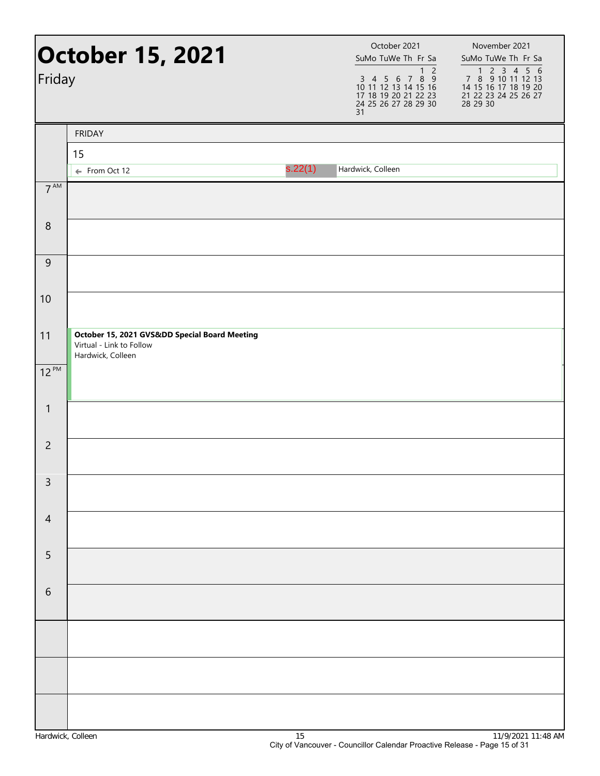| Friday          | <b>October 15, 2021</b>                                                                      |         | October 2021<br>SuMo TuWe Th Fr Sa<br>$3$ 4 5 6 7 8 9<br>10 11 12 13 14 15 16<br>17 18 19 20 21 22 23<br>24 25 26 27 28 29 30<br>31 | November 2021<br>SuMo TuWe Th Fr Sa<br>7 3 4 4 5 6<br>7 8 9 10 11 12 13<br>14 15 16 17 18 19 20<br>21 22 23 24 25 26 27<br>28 29 30 |
|-----------------|----------------------------------------------------------------------------------------------|---------|-------------------------------------------------------------------------------------------------------------------------------------|-------------------------------------------------------------------------------------------------------------------------------------|
|                 | <b>FRIDAY</b>                                                                                |         |                                                                                                                                     |                                                                                                                                     |
|                 | 15                                                                                           |         |                                                                                                                                     |                                                                                                                                     |
|                 | ← From Oct 12                                                                                | s.22(1) | Hardwick, Colleen                                                                                                                   |                                                                                                                                     |
| $7^{\text{AM}}$ |                                                                                              |         |                                                                                                                                     |                                                                                                                                     |
| $\,8\,$         |                                                                                              |         |                                                                                                                                     |                                                                                                                                     |
| 9               |                                                                                              |         |                                                                                                                                     |                                                                                                                                     |
| 10              |                                                                                              |         |                                                                                                                                     |                                                                                                                                     |
| 11              | October 15, 2021 GVSⅅ Special Board Meeting<br>Virtual - Link to Follow<br>Hardwick, Colleen |         |                                                                                                                                     |                                                                                                                                     |
| $12^{PM}$       |                                                                                              |         |                                                                                                                                     |                                                                                                                                     |
| 1               |                                                                                              |         |                                                                                                                                     |                                                                                                                                     |
| $\overline{2}$  |                                                                                              |         |                                                                                                                                     |                                                                                                                                     |
| 3               |                                                                                              |         |                                                                                                                                     |                                                                                                                                     |
| $\overline{4}$  |                                                                                              |         |                                                                                                                                     |                                                                                                                                     |
| 5               |                                                                                              |         |                                                                                                                                     |                                                                                                                                     |
| $\sqrt{6}$      |                                                                                              |         |                                                                                                                                     |                                                                                                                                     |
|                 |                                                                                              |         |                                                                                                                                     |                                                                                                                                     |
|                 |                                                                                              |         |                                                                                                                                     |                                                                                                                                     |
|                 |                                                                                              |         |                                                                                                                                     |                                                                                                                                     |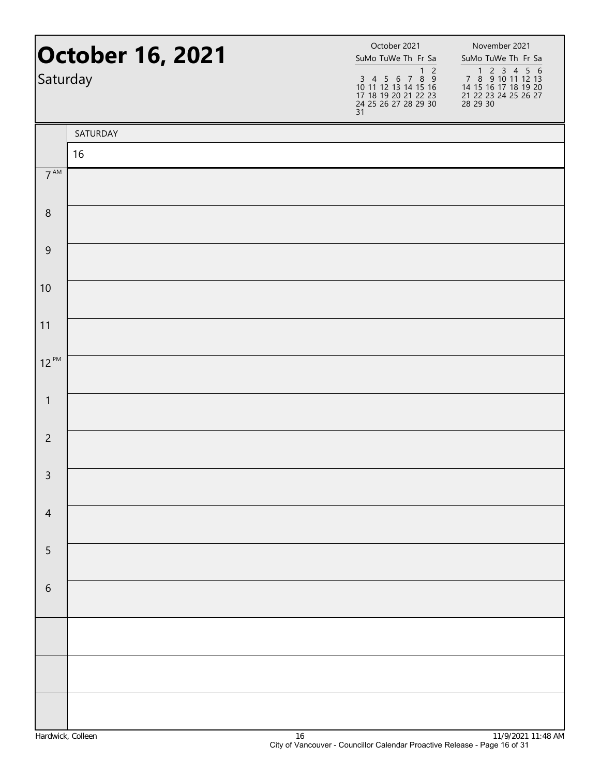| Saturday        | <b>October 16, 2021</b> | October 2021<br>SuMo TuWe Th Fr Sa<br>1 <sub>2</sub><br>3 4 5 6 7 8 9<br>10 11 12 13 14 15 16<br>17 18 19 20 21 22 23<br>24 25 26 27 28 29 30<br>31 | November 2021<br>SuMo TuWe Th Fr Sa<br>7 8 9 10 11 12 13<br>14 15 16 17 18 19 20<br>21 22 23 24 25 26 27<br>28 29 30 |
|-----------------|-------------------------|-----------------------------------------------------------------------------------------------------------------------------------------------------|----------------------------------------------------------------------------------------------------------------------|
|                 | SATURDAY                |                                                                                                                                                     |                                                                                                                      |
|                 | 16                      |                                                                                                                                                     |                                                                                                                      |
| $7^{\text{AM}}$ |                         |                                                                                                                                                     |                                                                                                                      |
| $\,8\,$         |                         |                                                                                                                                                     |                                                                                                                      |
| $\overline{9}$  |                         |                                                                                                                                                     |                                                                                                                      |
| 10              |                         |                                                                                                                                                     |                                                                                                                      |
| 11              |                         |                                                                                                                                                     |                                                                                                                      |
| $12^{PM}$       |                         |                                                                                                                                                     |                                                                                                                      |
| $\mathbf{1}$    |                         |                                                                                                                                                     |                                                                                                                      |
| $\overline{2}$  |                         |                                                                                                                                                     |                                                                                                                      |
| $\overline{3}$  |                         |                                                                                                                                                     |                                                                                                                      |
| $\overline{4}$  |                         |                                                                                                                                                     |                                                                                                                      |
| 5               |                         |                                                                                                                                                     |                                                                                                                      |
| $\sqrt{6}$      |                         |                                                                                                                                                     |                                                                                                                      |
|                 |                         |                                                                                                                                                     |                                                                                                                      |
|                 |                         |                                                                                                                                                     |                                                                                                                      |
|                 |                         |                                                                                                                                                     |                                                                                                                      |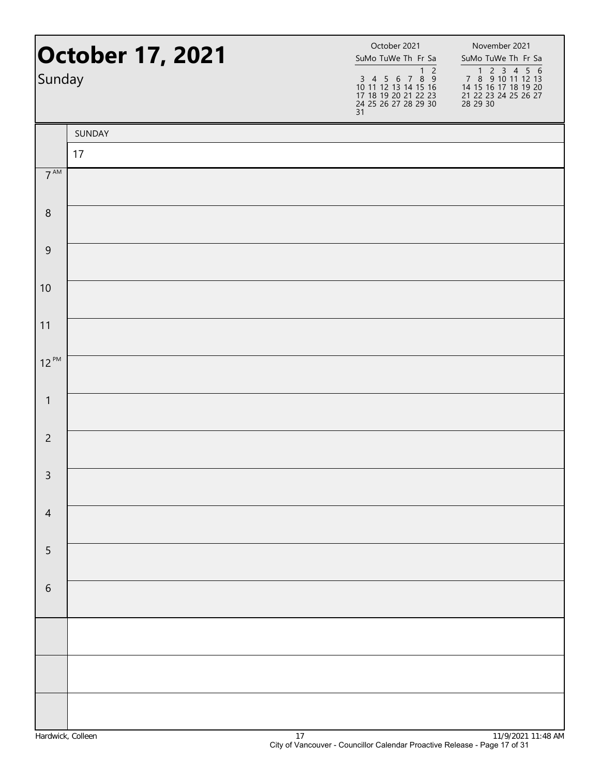| Sunday          | <b>October 17, 2021</b> | October 2021<br>SuMo TuWe Th Fr Sa<br>$1\overline{2}$<br>3 4 5 6 7 8 9<br>10 11 12 13 14 15 16<br>17 18 19 20 21 22 23<br>24 25 26 27 28 29 30<br>31 | November 2021<br>SuMo TuWe Th Fr Sa<br>1 2 3 4 5 6<br>7 8 9 10 11 12 13<br>14 15 16 17 18 19 20<br>21 22 23 24 25 26 27<br>28 29 30 |  |
|-----------------|-------------------------|------------------------------------------------------------------------------------------------------------------------------------------------------|-------------------------------------------------------------------------------------------------------------------------------------|--|
|                 | SUNDAY                  |                                                                                                                                                      |                                                                                                                                     |  |
|                 | 17                      |                                                                                                                                                      |                                                                                                                                     |  |
| 7 <sup>AM</sup> |                         |                                                                                                                                                      |                                                                                                                                     |  |
| $\,8\,$         |                         |                                                                                                                                                      |                                                                                                                                     |  |
| $\overline{9}$  |                         |                                                                                                                                                      |                                                                                                                                     |  |
| 10              |                         |                                                                                                                                                      |                                                                                                                                     |  |
| 11              |                         |                                                                                                                                                      |                                                                                                                                     |  |
| $12^{PM}$       |                         |                                                                                                                                                      |                                                                                                                                     |  |
| $\mathbf{1}$    |                         |                                                                                                                                                      |                                                                                                                                     |  |
| $\overline{2}$  |                         |                                                                                                                                                      |                                                                                                                                     |  |
| $\mathsf{3}$    |                         |                                                                                                                                                      |                                                                                                                                     |  |
| $\overline{4}$  |                         |                                                                                                                                                      |                                                                                                                                     |  |
| 5               |                         |                                                                                                                                                      |                                                                                                                                     |  |
| $\sqrt{6}$      |                         |                                                                                                                                                      |                                                                                                                                     |  |
|                 |                         |                                                                                                                                                      |                                                                                                                                     |  |
|                 |                         |                                                                                                                                                      |                                                                                                                                     |  |
|                 |                         |                                                                                                                                                      |                                                                                                                                     |  |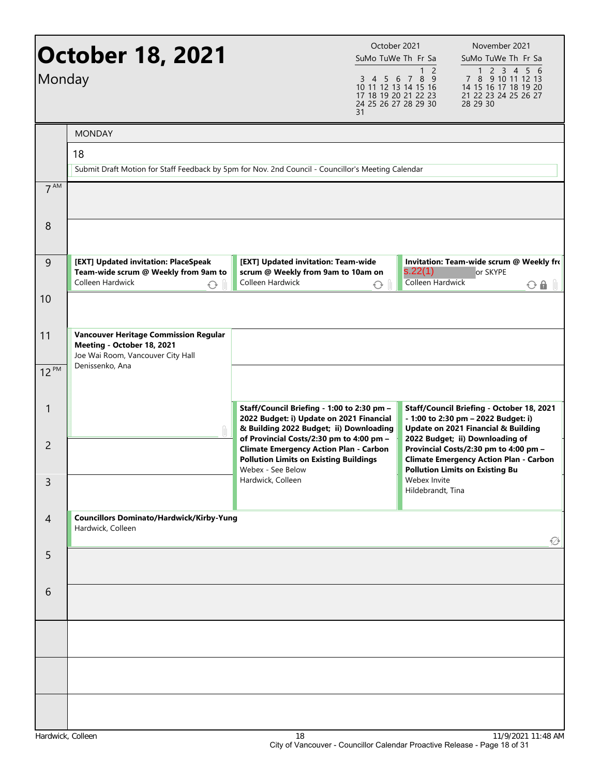| Monday          | <b>October 18, 2021</b>                                                                                                            | 31                                                                                                                                                              | October 2021<br>SuMo TuWe Th Fr Sa<br>1 <sub>2</sub><br>3 4 5 6 7 8 9<br>10 11 12 13 14 15 16<br>17 18 19 20 21 22 23<br>24 25 26 27 28 29 30 | November 2021<br>SuMo TuWe Th Fr Sa<br>1 2 3 4 5 6<br>7 8 9 10 11 12 13<br>14 15 16 17 18 19 20<br>21 22 23 24 25 26 27<br>28 29 30                                 |
|-----------------|------------------------------------------------------------------------------------------------------------------------------------|-----------------------------------------------------------------------------------------------------------------------------------------------------------------|-----------------------------------------------------------------------------------------------------------------------------------------------|---------------------------------------------------------------------------------------------------------------------------------------------------------------------|
|                 | <b>MONDAY</b>                                                                                                                      |                                                                                                                                                                 |                                                                                                                                               |                                                                                                                                                                     |
|                 | 18                                                                                                                                 |                                                                                                                                                                 |                                                                                                                                               |                                                                                                                                                                     |
|                 | Submit Draft Motion for Staff Feedback by 5pm for Nov. 2nd Council - Councillor's Meeting Calendar                                 |                                                                                                                                                                 |                                                                                                                                               |                                                                                                                                                                     |
| 7 <sup>AM</sup> |                                                                                                                                    |                                                                                                                                                                 |                                                                                                                                               |                                                                                                                                                                     |
| 8               |                                                                                                                                    |                                                                                                                                                                 |                                                                                                                                               |                                                                                                                                                                     |
| 9               | [EXT] Updated invitation: PlaceSpeak<br>Team-wide scrum @ Weekly from 9am to<br>Colleen Hardwick<br>⊙                              | [EXT] Updated invitation: Team-wide<br>scrum @ Weekly from 9am to 10am on<br>Colleen Hardwick                                                                   | s.22(1)<br><b>Colleen Hardwick</b><br>↔                                                                                                       | Invitation: Team-wide scrum @ Weekly fro<br>or SKYPE<br>$O$ $\theta$ $\theta$                                                                                       |
| 10              |                                                                                                                                    |                                                                                                                                                                 |                                                                                                                                               |                                                                                                                                                                     |
| 11<br>$12^{PM}$ | <b>Vancouver Heritage Commission Regular</b><br>Meeting - October 18, 2021<br>Joe Wai Room, Vancouver City Hall<br>Denissenko, Ana |                                                                                                                                                                 |                                                                                                                                               |                                                                                                                                                                     |
|                 |                                                                                                                                    |                                                                                                                                                                 |                                                                                                                                               |                                                                                                                                                                     |
| 1               |                                                                                                                                    | Staff/Council Briefing - 1:00 to 2:30 pm -<br>2022 Budget: i) Update on 2021 Financial<br>& Building 2022 Budget; ii) Downloading                               |                                                                                                                                               | Staff/Council Briefing - October 18, 2021<br>- 1:00 to 2:30 pm - 2022 Budget: i)<br>Update on 2021 Financial & Building                                             |
| $\overline{2}$  |                                                                                                                                    | of Provincial Costs/2:30 pm to 4:00 pm -<br><b>Climate Emergency Action Plan - Carbon</b><br><b>Pollution Limits on Existing Buildings</b><br>Webex - See Below |                                                                                                                                               | 2022 Budget; ii) Downloading of<br>Provincial Costs/2:30 pm to 4:00 pm -<br><b>Climate Emergency Action Plan - Carbon</b><br><b>Pollution Limits on Existing Bu</b> |
| 3               |                                                                                                                                    | Hardwick, Colleen                                                                                                                                               | Webex Invite<br>Hildebrandt, Tina                                                                                                             |                                                                                                                                                                     |
| $\overline{4}$  | <b>Councillors Dominato/Hardwick/Kirby-Yung</b><br>Hardwick, Colleen                                                               |                                                                                                                                                                 |                                                                                                                                               | ∅                                                                                                                                                                   |
| 5               |                                                                                                                                    |                                                                                                                                                                 |                                                                                                                                               |                                                                                                                                                                     |
| 6               |                                                                                                                                    |                                                                                                                                                                 |                                                                                                                                               |                                                                                                                                                                     |
|                 |                                                                                                                                    |                                                                                                                                                                 |                                                                                                                                               |                                                                                                                                                                     |
|                 |                                                                                                                                    |                                                                                                                                                                 |                                                                                                                                               |                                                                                                                                                                     |
|                 |                                                                                                                                    |                                                                                                                                                                 |                                                                                                                                               |                                                                                                                                                                     |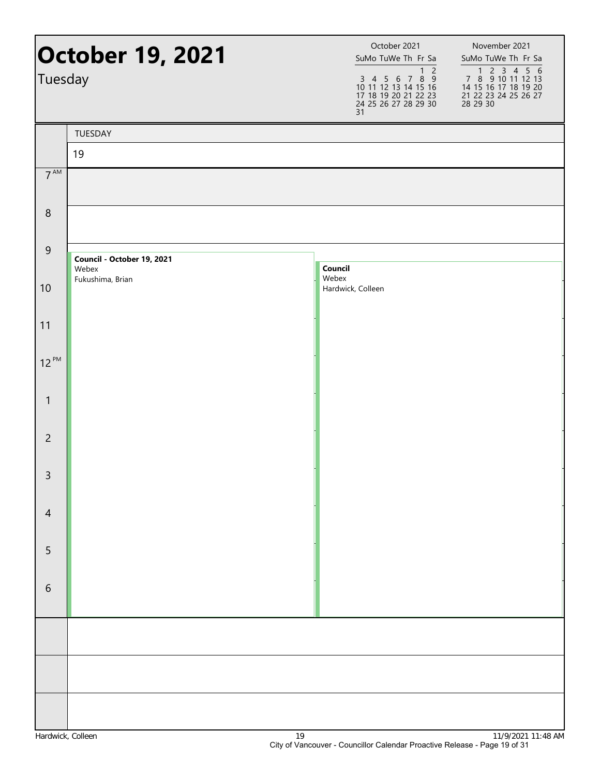|                 | October 19, 2021                    | October 2021<br>SuMo TuWe Th Fr Sa                                                                                 | November 2021<br>SuMo TuWe Th Fr Sa                                                          |
|-----------------|-------------------------------------|--------------------------------------------------------------------------------------------------------------------|----------------------------------------------------------------------------------------------|
| Tuesday         |                                     | $\overline{c}$<br>1<br>3 4 5 6 7 8 9<br>10 11 12 13 14 15 16<br>17 18 19 20 21 22 23<br>24 25 26 27 28 29 30<br>31 | 1 2 3 4 5 6<br>7 8 9 10 11 12 13<br>14 15 16 17 18 19 20<br>21 22 23 24 25 26 27<br>28 29 30 |
|                 | TUESDAY                             |                                                                                                                    |                                                                                              |
|                 | 19                                  |                                                                                                                    |                                                                                              |
| $7^{\text{AM}}$ |                                     |                                                                                                                    |                                                                                              |
| $\,8\,$         |                                     |                                                                                                                    |                                                                                              |
| $\overline{9}$  | Council - October 19, 2021<br>Webex | Council                                                                                                            |                                                                                              |
| 10              | Fukushima, Brian                    | Webex<br>Hardwick, Colleen                                                                                         |                                                                                              |
| 11              |                                     |                                                                                                                    |                                                                                              |
| $12^{PM}$       |                                     |                                                                                                                    |                                                                                              |
| $\mathbf{1}$    |                                     |                                                                                                                    |                                                                                              |
| $\overline{2}$  |                                     |                                                                                                                    |                                                                                              |
| $\mathsf{3}$    |                                     |                                                                                                                    |                                                                                              |
| $\overline{4}$  |                                     |                                                                                                                    |                                                                                              |
| 5               |                                     |                                                                                                                    |                                                                                              |
| $\,$ 6 $\,$     |                                     |                                                                                                                    |                                                                                              |
|                 |                                     |                                                                                                                    |                                                                                              |
|                 |                                     |                                                                                                                    |                                                                                              |
|                 |                                     |                                                                                                                    |                                                                                              |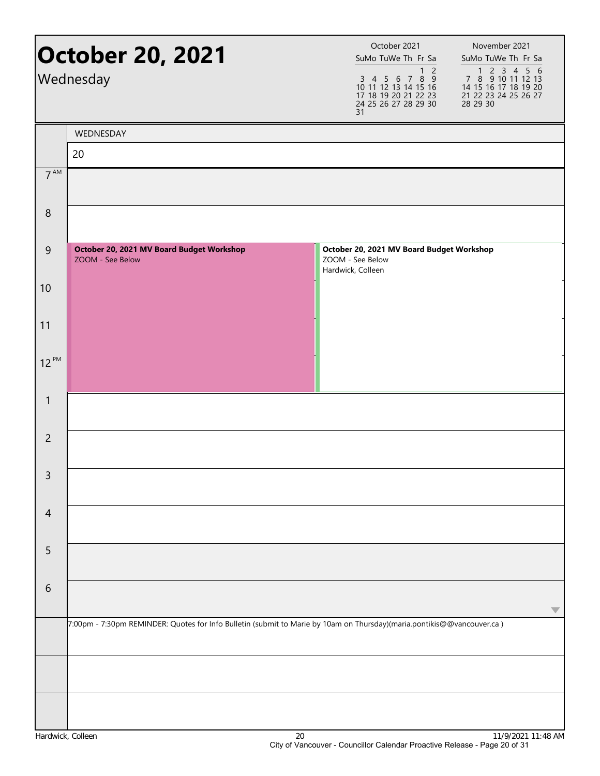|                  | <b>October 20, 2021</b><br>Wednesday                                                                                   |                   | October 2021<br>SuMo TuWe Th Fr Sa<br>$\overline{2}$<br>$\mathbf{1}$<br>3 4 5 6 7 8 9<br>10 11 12 13 14 15 16<br>17 18 19 20 21 22 23<br>24 25 26 27 28 29 30<br>31 | November 2021<br>SuMo TuWe Th Fr Sa<br>1 2 3 4 5 6<br>7 8 9 10 11 12 13<br>14 15 16 17 18 19 20<br>21 22 23 24 25 26 27<br>28 29 30 |
|------------------|------------------------------------------------------------------------------------------------------------------------|-------------------|---------------------------------------------------------------------------------------------------------------------------------------------------------------------|-------------------------------------------------------------------------------------------------------------------------------------|
|                  | WEDNESDAY                                                                                                              |                   |                                                                                                                                                                     |                                                                                                                                     |
|                  | 20                                                                                                                     |                   |                                                                                                                                                                     |                                                                                                                                     |
| $7^{\text{AM}}$  |                                                                                                                        |                   |                                                                                                                                                                     |                                                                                                                                     |
| $\boldsymbol{8}$ |                                                                                                                        |                   |                                                                                                                                                                     |                                                                                                                                     |
| $\overline{9}$   | October 20, 2021 MV Board Budget Workshop<br>ZOOM - See Below                                                          | Hardwick, Colleen | October 20, 2021 MV Board Budget Workshop<br>ZOOM - See Below                                                                                                       |                                                                                                                                     |
| 10               |                                                                                                                        |                   |                                                                                                                                                                     |                                                                                                                                     |
| 11               |                                                                                                                        |                   |                                                                                                                                                                     |                                                                                                                                     |
| $12^{PM}$        |                                                                                                                        |                   |                                                                                                                                                                     |                                                                                                                                     |
| $\mathbf{1}$     |                                                                                                                        |                   |                                                                                                                                                                     |                                                                                                                                     |
| $\overline{2}$   |                                                                                                                        |                   |                                                                                                                                                                     |                                                                                                                                     |
| $\mathsf{3}$     |                                                                                                                        |                   |                                                                                                                                                                     |                                                                                                                                     |
| $\overline{4}$   |                                                                                                                        |                   |                                                                                                                                                                     |                                                                                                                                     |
| 5                |                                                                                                                        |                   |                                                                                                                                                                     |                                                                                                                                     |
| 6                |                                                                                                                        |                   |                                                                                                                                                                     |                                                                                                                                     |
|                  | 7:00pm - 7:30pm REMINDER: Quotes for Info Bulletin (submit to Marie by 10am on Thursday)(maria.pontikis@@vancouver.ca) |                   |                                                                                                                                                                     |                                                                                                                                     |
|                  |                                                                                                                        |                   |                                                                                                                                                                     |                                                                                                                                     |
|                  |                                                                                                                        |                   |                                                                                                                                                                     |                                                                                                                                     |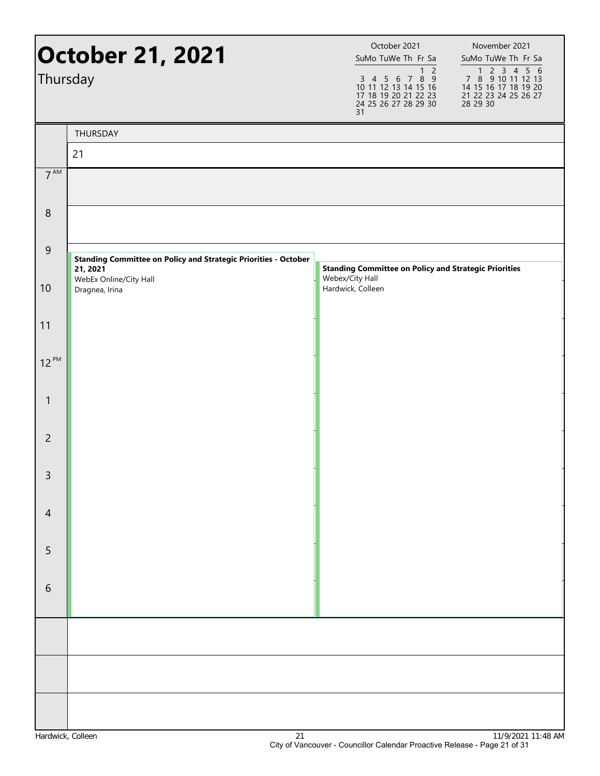|                 | <b>October 21, 2021</b>                                                            | October 2021<br>November 2021<br>SuMo TuWe Th Fr Sa<br>SuMo TuWe Th Fr Sa<br>1 <sub>2</sub>                                                                                                   |
|-----------------|------------------------------------------------------------------------------------|-----------------------------------------------------------------------------------------------------------------------------------------------------------------------------------------------|
| Thursday        |                                                                                    | 1 2 3 4 5 6<br>7 8 9 10 11 12 13<br>$3$ 4 5 6 7 8 9<br>10 11 12 13 14 15 16<br>17 18 19 20 21 22 23<br>14 15 16 17 18 19 20<br>21 22 23 24 25 26 27<br>24 25 26 27 28 29 30<br>28 29 30<br>31 |
|                 | THURSDAY                                                                           |                                                                                                                                                                                               |
|                 | 21                                                                                 |                                                                                                                                                                                               |
| 7 <sup>AM</sup> |                                                                                    |                                                                                                                                                                                               |
| $\,8\,$         |                                                                                    |                                                                                                                                                                                               |
| $\overline{9}$  | <b>Standing Committee on Policy and Strategic Priorities - October</b><br>21, 2021 | <b>Standing Committee on Policy and Strategic Priorities</b>                                                                                                                                  |
| 10              | WebEx Online/City Hall<br>Dragnea, Irina                                           | Webex/City Hall<br>Hardwick, Colleen                                                                                                                                                          |
| 11              |                                                                                    |                                                                                                                                                                                               |
| $12^{PM}$       |                                                                                    |                                                                                                                                                                                               |
| 1               |                                                                                    |                                                                                                                                                                                               |
| $\overline{2}$  |                                                                                    |                                                                                                                                                                                               |
| 3               |                                                                                    |                                                                                                                                                                                               |
| $\overline{4}$  |                                                                                    |                                                                                                                                                                                               |
| 5               |                                                                                    |                                                                                                                                                                                               |
| 6               |                                                                                    |                                                                                                                                                                                               |
|                 |                                                                                    |                                                                                                                                                                                               |
|                 |                                                                                    |                                                                                                                                                                                               |
|                 |                                                                                    |                                                                                                                                                                                               |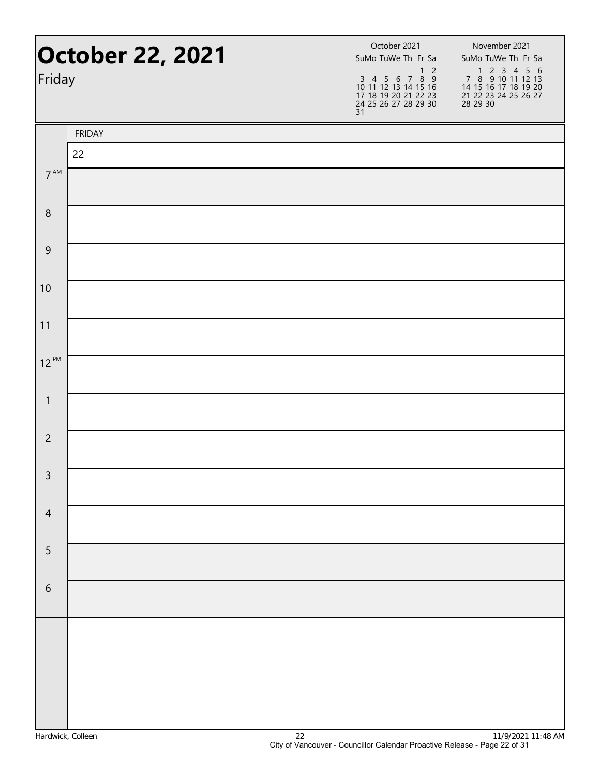| Friday          | <b>October 22, 2021</b> | October 2021<br>SuMo TuWe Th Fr Sa<br>1 <sub>2</sub><br>3 4 5 6 7 8 9<br>10 11 12 13 14 15 16<br>17 18 19 20 21 22 23<br>24 25 26 27 28 29 30<br>31 | November 2021<br>SuMo TuWe Th Fr Sa<br>7 8 9 10 11 12 13<br>14 15 16 17 18 19 20<br>21 22 23 24 25 26 27<br>28 29 30 |
|-----------------|-------------------------|-----------------------------------------------------------------------------------------------------------------------------------------------------|----------------------------------------------------------------------------------------------------------------------|
|                 | <b>FRIDAY</b>           |                                                                                                                                                     |                                                                                                                      |
|                 | 22                      |                                                                                                                                                     |                                                                                                                      |
| $7^{\text{AM}}$ |                         |                                                                                                                                                     |                                                                                                                      |
| $\,8\,$         |                         |                                                                                                                                                     |                                                                                                                      |
| $\overline{9}$  |                         |                                                                                                                                                     |                                                                                                                      |
| 10              |                         |                                                                                                                                                     |                                                                                                                      |
| 11              |                         |                                                                                                                                                     |                                                                                                                      |
| $12^{PM}$       |                         |                                                                                                                                                     |                                                                                                                      |
| $\mathbf{1}$    |                         |                                                                                                                                                     |                                                                                                                      |
| $\overline{2}$  |                         |                                                                                                                                                     |                                                                                                                      |
| $\overline{3}$  |                         |                                                                                                                                                     |                                                                                                                      |
| $\overline{4}$  |                         |                                                                                                                                                     |                                                                                                                      |
| 5               |                         |                                                                                                                                                     |                                                                                                                      |
| $\sqrt{6}$      |                         |                                                                                                                                                     |                                                                                                                      |
|                 |                         |                                                                                                                                                     |                                                                                                                      |
|                 |                         |                                                                                                                                                     |                                                                                                                      |
|                 |                         |                                                                                                                                                     |                                                                                                                      |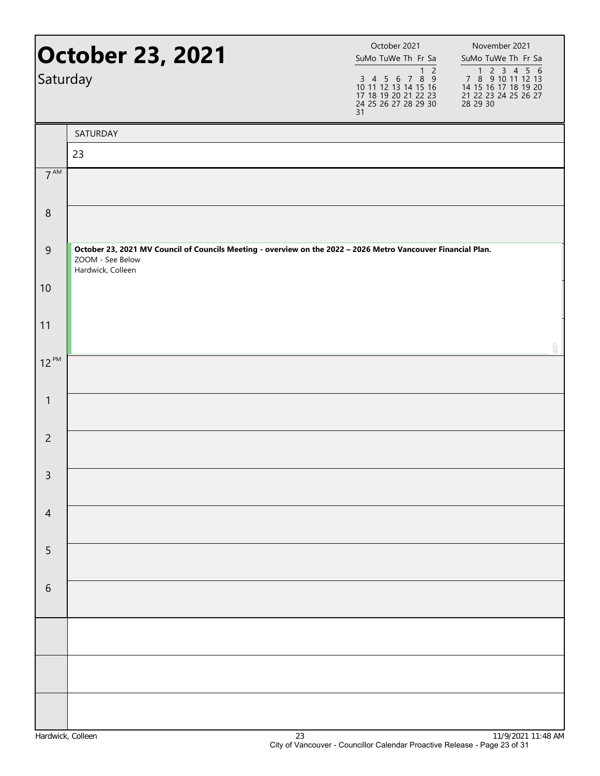| <b>October 23, 2021</b><br>Saturday |                                                                                                                                                        | October 2021<br>SuMo TuWe Th Fr Sa<br>1 <sub>2</sub><br>7 8 9<br>3 4 5 6<br>10 11 12 13 14 15 16<br>17 18 19 20 21 22 23<br>24 25 26 27 28 29 30<br>31 | November 2021<br>SuMo TuWe Th Fr Sa<br>7 8 9 10 11 12 13<br>14 15 16 17 18 19 20<br>21 22 23 24 25 26 27<br>28 29 30 |  |
|-------------------------------------|--------------------------------------------------------------------------------------------------------------------------------------------------------|--------------------------------------------------------------------------------------------------------------------------------------------------------|----------------------------------------------------------------------------------------------------------------------|--|
|                                     | SATURDAY                                                                                                                                               |                                                                                                                                                        |                                                                                                                      |  |
|                                     | 23                                                                                                                                                     |                                                                                                                                                        |                                                                                                                      |  |
| 7 <sup>AM</sup>                     |                                                                                                                                                        |                                                                                                                                                        |                                                                                                                      |  |
| $\,8\,$                             |                                                                                                                                                        |                                                                                                                                                        |                                                                                                                      |  |
| 9                                   | October 23, 2021 MV Council of Councils Meeting - overview on the 2022 - 2026 Metro Vancouver Financial Plan.<br>ZOOM - See Below<br>Hardwick, Colleen |                                                                                                                                                        |                                                                                                                      |  |
| 10                                  |                                                                                                                                                        |                                                                                                                                                        |                                                                                                                      |  |
| 11                                  |                                                                                                                                                        |                                                                                                                                                        |                                                                                                                      |  |
| $12^{PM}$                           |                                                                                                                                                        |                                                                                                                                                        |                                                                                                                      |  |
| $\mathbf{1}$                        |                                                                                                                                                        |                                                                                                                                                        |                                                                                                                      |  |
| $\overline{2}$                      |                                                                                                                                                        |                                                                                                                                                        |                                                                                                                      |  |
| $\mathsf{3}$                        |                                                                                                                                                        |                                                                                                                                                        |                                                                                                                      |  |
| $\overline{4}$                      |                                                                                                                                                        |                                                                                                                                                        |                                                                                                                      |  |
| 5                                   |                                                                                                                                                        |                                                                                                                                                        |                                                                                                                      |  |
| $\sqrt{6}$                          |                                                                                                                                                        |                                                                                                                                                        |                                                                                                                      |  |
|                                     |                                                                                                                                                        |                                                                                                                                                        |                                                                                                                      |  |
|                                     |                                                                                                                                                        |                                                                                                                                                        |                                                                                                                      |  |
|                                     |                                                                                                                                                        |                                                                                                                                                        |                                                                                                                      |  |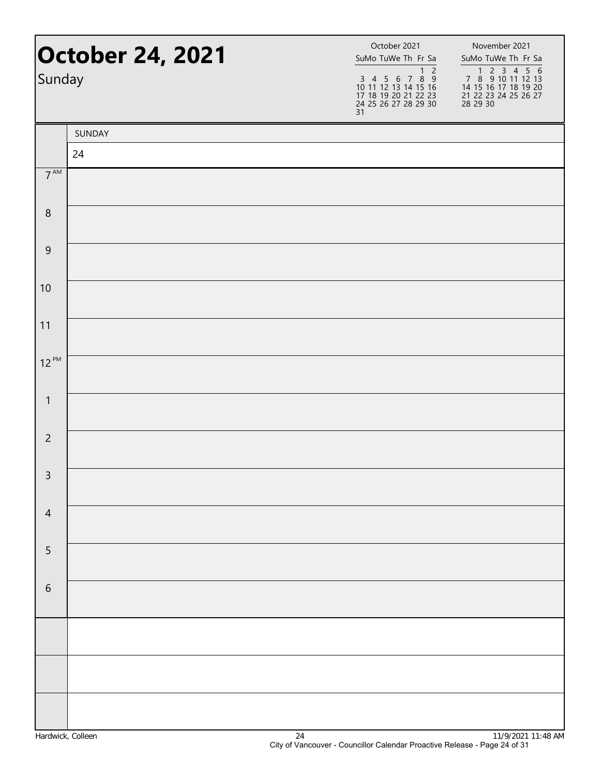| Sunday          | <b>October 24, 2021</b> | October 2021<br>SuMo TuWe Th Fr Sa<br>$1\overline{2}$<br>3 4 5 6 7 8 9<br>10 11 12 13 14 15 16<br>17 18 19 20 21 22 23<br>24 25 26 27 28 29 30<br>31 | November 2021<br>SuMo TuWe Th Fr Sa<br>1 2 3 4 5 6<br>7 8 9 10 11 12 13<br>14 15 16 17 18 19 20<br>21 22 23 24 25 26 27<br>28 29 30 |
|-----------------|-------------------------|------------------------------------------------------------------------------------------------------------------------------------------------------|-------------------------------------------------------------------------------------------------------------------------------------|
|                 | SUNDAY                  |                                                                                                                                                      |                                                                                                                                     |
|                 | 24                      |                                                                                                                                                      |                                                                                                                                     |
| 7 <sup>AM</sup> |                         |                                                                                                                                                      |                                                                                                                                     |
| $\,8\,$         |                         |                                                                                                                                                      |                                                                                                                                     |
| $\overline{9}$  |                         |                                                                                                                                                      |                                                                                                                                     |
| 10              |                         |                                                                                                                                                      |                                                                                                                                     |
| 11              |                         |                                                                                                                                                      |                                                                                                                                     |
| $12^{PM}$       |                         |                                                                                                                                                      |                                                                                                                                     |
| $\mathbf{1}$    |                         |                                                                                                                                                      |                                                                                                                                     |
| $\overline{2}$  |                         |                                                                                                                                                      |                                                                                                                                     |
| $\mathsf{3}$    |                         |                                                                                                                                                      |                                                                                                                                     |
| $\overline{4}$  |                         |                                                                                                                                                      |                                                                                                                                     |
| 5               |                         |                                                                                                                                                      |                                                                                                                                     |
| $\sqrt{6}$      |                         |                                                                                                                                                      |                                                                                                                                     |
|                 |                         |                                                                                                                                                      |                                                                                                                                     |
|                 |                         |                                                                                                                                                      |                                                                                                                                     |
|                 |                         |                                                                                                                                                      |                                                                                                                                     |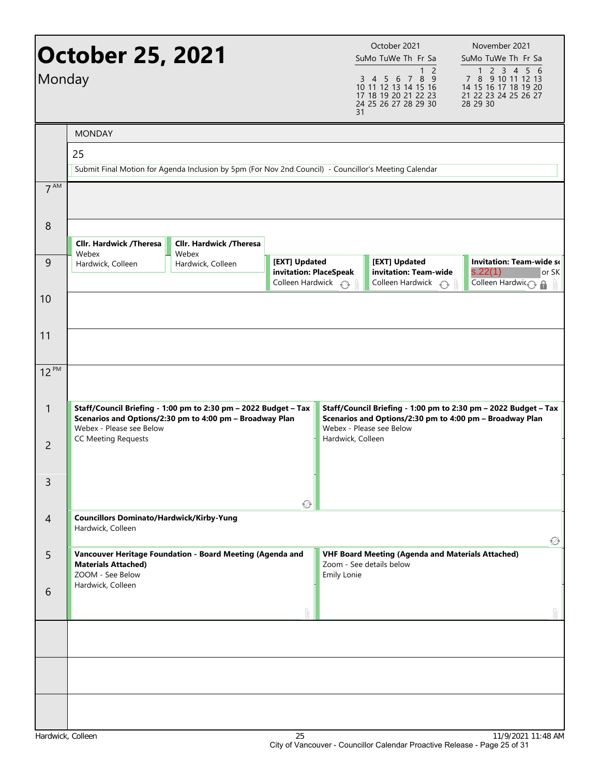| Monday          | October 25, 2021                                                     |                                                                                                                             |                                                                                | 31                | October 2021<br>SuMo TuWe Th Fr Sa<br>1 <sup>2</sup><br>7 8 9<br>3 4 5 6<br>10 11 12 13 14 15 16<br>17 18 19 20 21 22 23<br>24 25 26 27 28 29 30 | November 2021<br>SuMo TuWe Th Fr Sa<br>1 2 3 4 5 6<br>7 8 9 10 11 12 13<br>14 15 16 17 18 19 20<br>21 22 23 24 25 26 27<br>28 29 30 |
|-----------------|----------------------------------------------------------------------|-----------------------------------------------------------------------------------------------------------------------------|--------------------------------------------------------------------------------|-------------------|--------------------------------------------------------------------------------------------------------------------------------------------------|-------------------------------------------------------------------------------------------------------------------------------------|
|                 | <b>MONDAY</b>                                                        |                                                                                                                             |                                                                                |                   |                                                                                                                                                  |                                                                                                                                     |
|                 | 25                                                                   |                                                                                                                             |                                                                                |                   |                                                                                                                                                  |                                                                                                                                     |
|                 |                                                                      | Submit Final Motion for Agenda Inclusion by 5pm (For Nov 2nd Council) - Councillor's Meeting Calendar                       |                                                                                |                   |                                                                                                                                                  |                                                                                                                                     |
| 7 <sup>AM</sup> |                                                                      |                                                                                                                             |                                                                                |                   |                                                                                                                                                  |                                                                                                                                     |
| 8               | <b>Cllr. Hardwick /Theresa</b>                                       | Cllr. Hardwick /Theresa                                                                                                     |                                                                                |                   |                                                                                                                                                  |                                                                                                                                     |
| 9               | Webex<br>Hardwick, Colleen                                           | Webex<br>Hardwick, Colleen                                                                                                  | [EXT] Updated<br>invitation: PlaceSpeak<br>Colleen Hardwick $\curvearrowright$ |                   | [EXT] Updated<br>invitation: Team-wide<br>Colleen Hardwick $\bigcirc$                                                                            | <b>Invitation: Team-wide so</b><br>s.22(1)<br>or SK<br>Colleen Hardwin a                                                            |
| 10              |                                                                      |                                                                                                                             |                                                                                |                   |                                                                                                                                                  |                                                                                                                                     |
| 11              |                                                                      |                                                                                                                             |                                                                                |                   |                                                                                                                                                  |                                                                                                                                     |
| 12 PM           |                                                                      |                                                                                                                             |                                                                                |                   |                                                                                                                                                  |                                                                                                                                     |
| $\mathbf{1}$    | Webex - Please see Below                                             | Staff/Council Briefing - 1:00 pm to 2:30 pm - 2022 Budget - Tax<br>Scenarios and Options/2:30 pm to 4:00 pm - Broadway Plan |                                                                                |                   | Webex - Please see Below                                                                                                                         | Staff/Council Briefing - 1:00 pm to 2:30 pm - 2022 Budget - Tax<br>Scenarios and Options/2:30 pm to 4:00 pm - Broadway Plan         |
| $\overline{2}$  | <b>CC Meeting Requests</b>                                           |                                                                                                                             |                                                                                | Hardwick, Colleen |                                                                                                                                                  |                                                                                                                                     |
| 3               |                                                                      |                                                                                                                             | ₩                                                                              |                   |                                                                                                                                                  |                                                                                                                                     |
| $\overline{4}$  | <b>Councillors Dominato/Hardwick/Kirby-Yung</b><br>Hardwick, Colleen |                                                                                                                             |                                                                                |                   |                                                                                                                                                  | Ø                                                                                                                                   |
| 5               | <b>Materials Attached)</b><br>ZOOM - See Below                       | Vancouver Heritage Foundation - Board Meeting (Agenda and                                                                   |                                                                                | Emily Lonie       | <b>VHF Board Meeting (Agenda and Materials Attached)</b><br>Zoom - See details below                                                             |                                                                                                                                     |
| 6               | Hardwick, Colleen                                                    |                                                                                                                             |                                                                                |                   |                                                                                                                                                  |                                                                                                                                     |
|                 |                                                                      |                                                                                                                             |                                                                                |                   |                                                                                                                                                  |                                                                                                                                     |
|                 |                                                                      |                                                                                                                             |                                                                                |                   |                                                                                                                                                  |                                                                                                                                     |
|                 |                                                                      |                                                                                                                             |                                                                                |                   |                                                                                                                                                  |                                                                                                                                     |
|                 |                                                                      |                                                                                                                             |                                                                                |                   |                                                                                                                                                  |                                                                                                                                     |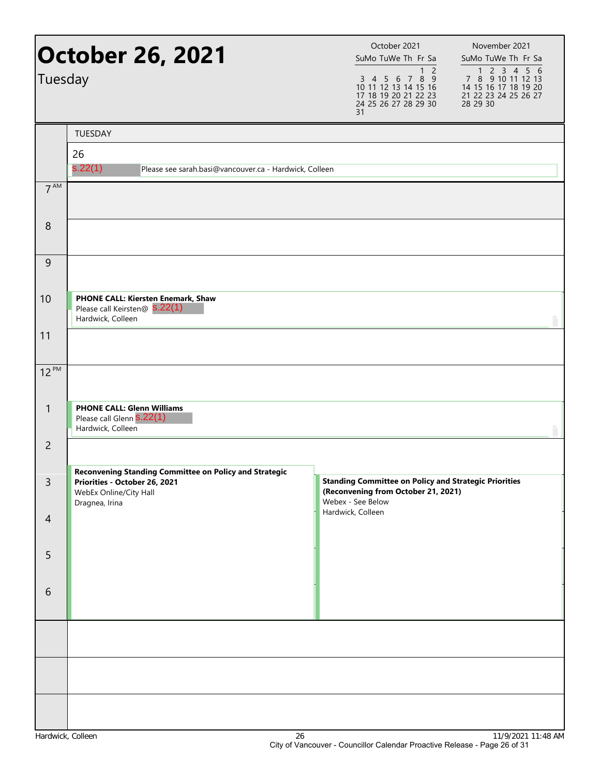| Tuesday         | <b>October 26, 2021</b>                                                                                                             | October 2021<br>SuMo TuWe Th Fr Sa<br>$\mathbf{1}$<br>$\overline{2}$<br>3 4 5 6 7 8 9<br>10 11 12 13 14 15 16<br>17 18 19 20 21 22 23<br>24 25 26 27 28 29 30<br>31 | November 2021<br>SuMo TuWe Th Fr Sa<br>1 2 3 4 5 6<br>7 8 9 10 11 12 13<br>14 15 16 17 18 19 20<br>21 22 23 24 25 26 27<br>28 29 30 |
|-----------------|-------------------------------------------------------------------------------------------------------------------------------------|---------------------------------------------------------------------------------------------------------------------------------------------------------------------|-------------------------------------------------------------------------------------------------------------------------------------|
|                 | <b>TUESDAY</b>                                                                                                                      |                                                                                                                                                                     |                                                                                                                                     |
|                 | 26                                                                                                                                  |                                                                                                                                                                     |                                                                                                                                     |
|                 | s.22(1)<br>Please see sarah.basi@vancouver.ca - Hardwick, Colleen                                                                   |                                                                                                                                                                     |                                                                                                                                     |
| $7^{\text{AM}}$ |                                                                                                                                     |                                                                                                                                                                     |                                                                                                                                     |
| 8               |                                                                                                                                     |                                                                                                                                                                     |                                                                                                                                     |
| $\overline{9}$  |                                                                                                                                     |                                                                                                                                                                     |                                                                                                                                     |
| 10              | PHONE CALL: Kiersten Enemark, Shaw<br>Please call Keirsten@ S.22(1)<br>Hardwick, Colleen                                            |                                                                                                                                                                     |                                                                                                                                     |
| 11              |                                                                                                                                     |                                                                                                                                                                     |                                                                                                                                     |
| 12 PM           |                                                                                                                                     |                                                                                                                                                                     |                                                                                                                                     |
| $\mathbf{1}$    | <b>PHONE CALL: Glenn Williams</b><br>Please call Glenn S.22(1)<br>Hardwick, Colleen                                                 |                                                                                                                                                                     |                                                                                                                                     |
| $\overline{2}$  |                                                                                                                                     |                                                                                                                                                                     |                                                                                                                                     |
| $\mathsf{3}$    | Reconvening Standing Committee on Policy and Strategic<br>Priorities - October 26, 2021<br>WebEx Online/City Hall<br>Dragnea, Irina | <b>Standing Committee on Policy and Strategic Priorities</b><br>(Reconvening from October 21, 2021)<br>Webex - See Below                                            |                                                                                                                                     |
| $\overline{4}$  |                                                                                                                                     | Hardwick, Colleen                                                                                                                                                   |                                                                                                                                     |
| 5               |                                                                                                                                     |                                                                                                                                                                     |                                                                                                                                     |
| 6               |                                                                                                                                     |                                                                                                                                                                     |                                                                                                                                     |
|                 |                                                                                                                                     |                                                                                                                                                                     |                                                                                                                                     |
|                 |                                                                                                                                     |                                                                                                                                                                     |                                                                                                                                     |
|                 |                                                                                                                                     |                                                                                                                                                                     |                                                                                                                                     |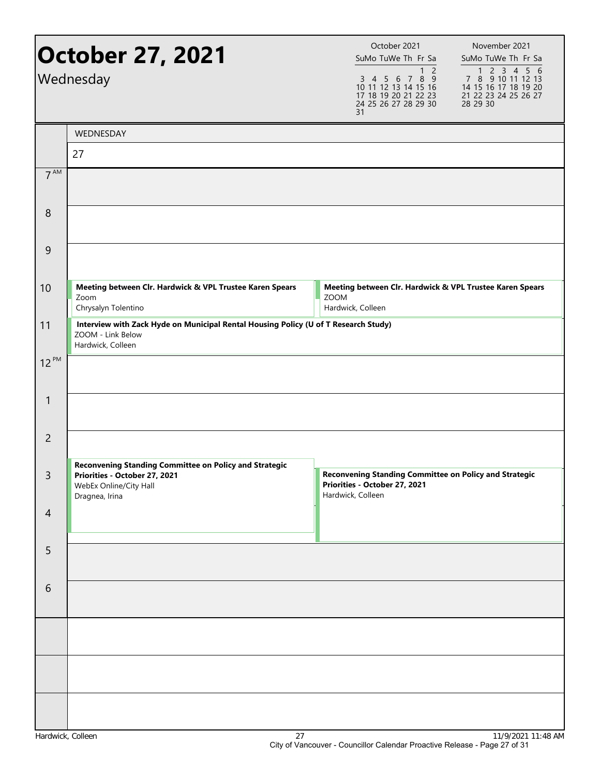| <b>October 27, 2021</b><br>Wednesday |                                                                                                                                            | October 2021<br>SuMo TuWe Th Fr Sa<br>1 <sub>2</sub><br>3 4 5 6 7 8 9<br>10 11 12 13 14 15 16<br>17 18 19 20 21 22 23<br>24 25 26 27 28 29 30<br>31 | November 2021<br>SuMo TuWe Th Fr Sa<br>1 2 3 4 5 6<br>7 8 9 10 11 12 13<br>14 15 16 17 18 19 20<br>21 22 23 24 25 26 27<br>28 29 30 |
|--------------------------------------|--------------------------------------------------------------------------------------------------------------------------------------------|-----------------------------------------------------------------------------------------------------------------------------------------------------|-------------------------------------------------------------------------------------------------------------------------------------|
|                                      | WEDNESDAY                                                                                                                                  |                                                                                                                                                     |                                                                                                                                     |
|                                      | 27                                                                                                                                         |                                                                                                                                                     |                                                                                                                                     |
| 7 <sup>AM</sup>                      |                                                                                                                                            |                                                                                                                                                     |                                                                                                                                     |
| 8                                    |                                                                                                                                            |                                                                                                                                                     |                                                                                                                                     |
| 9                                    |                                                                                                                                            |                                                                                                                                                     |                                                                                                                                     |
| 10                                   | Meeting between Clr. Hardwick & VPL Trustee Karen Spears<br>Zoom<br>Chrysalyn Tolentino                                                    | Meeting between Clr. Hardwick & VPL Trustee Karen Spears<br><b>ZOOM</b><br>Hardwick, Colleen                                                        |                                                                                                                                     |
| 11                                   | Interview with Zack Hyde on Municipal Rental Housing Policy (U of T Research Study)<br>ZOOM - Link Below<br>Hardwick, Colleen              |                                                                                                                                                     |                                                                                                                                     |
| $12^{PM}$                            |                                                                                                                                            |                                                                                                                                                     |                                                                                                                                     |
| 1                                    |                                                                                                                                            |                                                                                                                                                     |                                                                                                                                     |
| $\overline{2}$                       |                                                                                                                                            |                                                                                                                                                     |                                                                                                                                     |
| 3                                    | <b>Reconvening Standing Committee on Policy and Strategic</b><br>Priorities - October 27, 2021<br>WebEx Online/City Hall<br>Dragnea, Irina | <b>Reconvening Standing Committee on Policy and Strategic</b><br>Priorities - October 27, 2021<br>Hardwick, Colleen                                 |                                                                                                                                     |
| $\overline{4}$                       |                                                                                                                                            |                                                                                                                                                     |                                                                                                                                     |
| 5                                    |                                                                                                                                            |                                                                                                                                                     |                                                                                                                                     |
| 6                                    |                                                                                                                                            |                                                                                                                                                     |                                                                                                                                     |
|                                      |                                                                                                                                            |                                                                                                                                                     |                                                                                                                                     |
|                                      |                                                                                                                                            |                                                                                                                                                     |                                                                                                                                     |
|                                      |                                                                                                                                            |                                                                                                                                                     |                                                                                                                                     |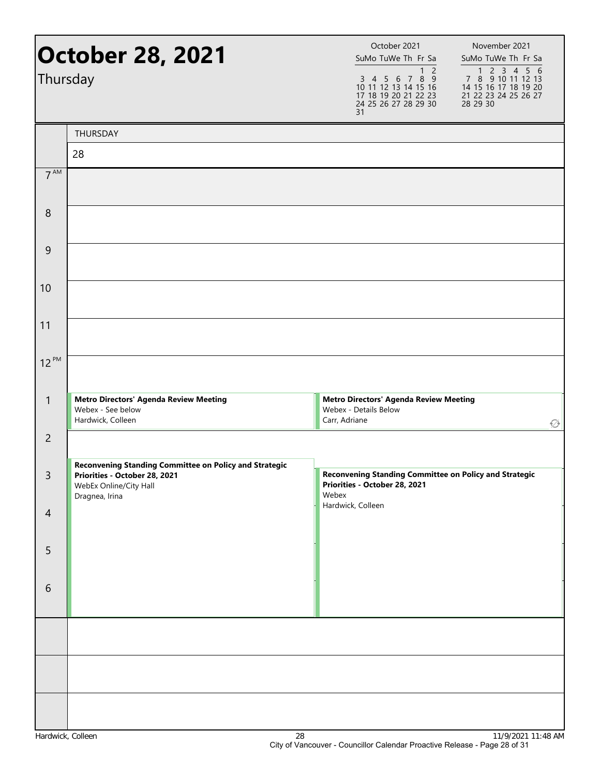| October 28, 2021<br>Thursday |                                                                                                                                            | October 2021<br>SuMo TuWe Th Fr Sa<br>1 <sub>2</sub><br>$3\ 4\ 5\ 6\ 7\ 8\ \overline{9}$<br>10 11 12 13 14 15 16<br>17 18 19 20 21 22 23<br>24 25 26 27 28 29 30<br>31 | November 2021<br>SuMo TuWe Th Fr Sa<br>1 2 3 4 5 6<br>7 8 9 10 11 12 13<br>14 15 16 17 18 19 20<br>21 22 23 24 25 26 27<br>28 29 30 |  |
|------------------------------|--------------------------------------------------------------------------------------------------------------------------------------------|------------------------------------------------------------------------------------------------------------------------------------------------------------------------|-------------------------------------------------------------------------------------------------------------------------------------|--|
|                              | THURSDAY                                                                                                                                   |                                                                                                                                                                        |                                                                                                                                     |  |
|                              | 28                                                                                                                                         |                                                                                                                                                                        |                                                                                                                                     |  |
| 7 <sup>AM</sup>              |                                                                                                                                            |                                                                                                                                                                        |                                                                                                                                     |  |
| 8                            |                                                                                                                                            |                                                                                                                                                                        |                                                                                                                                     |  |
| 9                            |                                                                                                                                            |                                                                                                                                                                        |                                                                                                                                     |  |
| 10                           |                                                                                                                                            |                                                                                                                                                                        |                                                                                                                                     |  |
| 11                           |                                                                                                                                            |                                                                                                                                                                        |                                                                                                                                     |  |
| $12^{PM}$                    |                                                                                                                                            |                                                                                                                                                                        |                                                                                                                                     |  |
| $\mathbf{1}$                 | <b>Metro Directors' Agenda Review Meeting</b><br>Webex - See below<br>Hardwick, Colleen                                                    | <b>Metro Directors' Agenda Review Meeting</b><br>Webex - Details Below<br>Carr, Adriane                                                                                | ∅                                                                                                                                   |  |
| $\overline{2}$               |                                                                                                                                            |                                                                                                                                                                        |                                                                                                                                     |  |
| $\mathsf{3}$                 | <b>Reconvening Standing Committee on Policy and Strategic</b><br>Priorities - October 28, 2021<br>WebEx Online/City Hall<br>Dragnea, Irina | Reconvening Standing Committee on Policy and Strategic<br>Priorities - October 28, 2021<br>Webex                                                                       |                                                                                                                                     |  |
| $\overline{4}$               |                                                                                                                                            | Hardwick, Colleen                                                                                                                                                      |                                                                                                                                     |  |
| 5                            |                                                                                                                                            |                                                                                                                                                                        |                                                                                                                                     |  |
| 6                            |                                                                                                                                            |                                                                                                                                                                        |                                                                                                                                     |  |
|                              |                                                                                                                                            |                                                                                                                                                                        |                                                                                                                                     |  |
|                              |                                                                                                                                            |                                                                                                                                                                        |                                                                                                                                     |  |
|                              |                                                                                                                                            |                                                                                                                                                                        |                                                                                                                                     |  |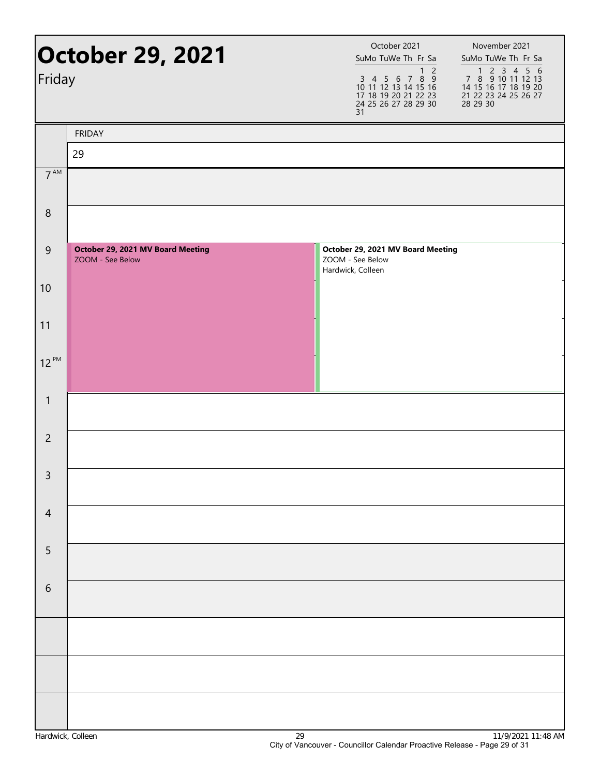| <b>October 29, 2021</b><br>Friday |                                                       | October 2021<br>November 2021<br>SuMo TuWe Th Fr Sa<br>SuMo TuWe Th Fr Sa<br>$\overline{2}$<br>1 2 3 4 5 6<br>7 8 9 10 11 12 13<br>14 15 16 17 18 19 20<br>$\mathbf{1}$<br>$\begin{array}{cccccc}\n3 & 4 & 5 & 6 & 7 & 8 & 9 \\ 10 & 11 & 12 & 13 & 14 & 15 & 16\n\end{array}$<br>17 18 19 20 21 22 23<br>24 25 26 27 28 29 30<br>21 22 23 24 25 26 27<br>28 29 30<br>31 |  |
|-----------------------------------|-------------------------------------------------------|--------------------------------------------------------------------------------------------------------------------------------------------------------------------------------------------------------------------------------------------------------------------------------------------------------------------------------------------------------------------------|--|
|                                   | <b>FRIDAY</b>                                         |                                                                                                                                                                                                                                                                                                                                                                          |  |
|                                   | 29                                                    |                                                                                                                                                                                                                                                                                                                                                                          |  |
| 7 <sup>AM</sup>                   |                                                       |                                                                                                                                                                                                                                                                                                                                                                          |  |
| $\,8\,$                           |                                                       |                                                                                                                                                                                                                                                                                                                                                                          |  |
| $\overline{9}$                    | October 29, 2021 MV Board Meeting<br>ZOOM - See Below | October 29, 2021 MV Board Meeting<br>ZOOM - See Below<br>Hardwick, Colleen                                                                                                                                                                                                                                                                                               |  |
| 10                                |                                                       |                                                                                                                                                                                                                                                                                                                                                                          |  |
| 11                                |                                                       |                                                                                                                                                                                                                                                                                                                                                                          |  |
| $12^{PM}$                         |                                                       |                                                                                                                                                                                                                                                                                                                                                                          |  |
| $\mathbf{1}$                      |                                                       |                                                                                                                                                                                                                                                                                                                                                                          |  |
| $\overline{2}$                    |                                                       |                                                                                                                                                                                                                                                                                                                                                                          |  |
| $\mathsf{3}$                      |                                                       |                                                                                                                                                                                                                                                                                                                                                                          |  |
| $\overline{4}$                    |                                                       |                                                                                                                                                                                                                                                                                                                                                                          |  |
| 5                                 |                                                       |                                                                                                                                                                                                                                                                                                                                                                          |  |
| $\sqrt{6}$                        |                                                       |                                                                                                                                                                                                                                                                                                                                                                          |  |
|                                   |                                                       |                                                                                                                                                                                                                                                                                                                                                                          |  |
|                                   |                                                       |                                                                                                                                                                                                                                                                                                                                                                          |  |
|                                   |                                                       |                                                                                                                                                                                                                                                                                                                                                                          |  |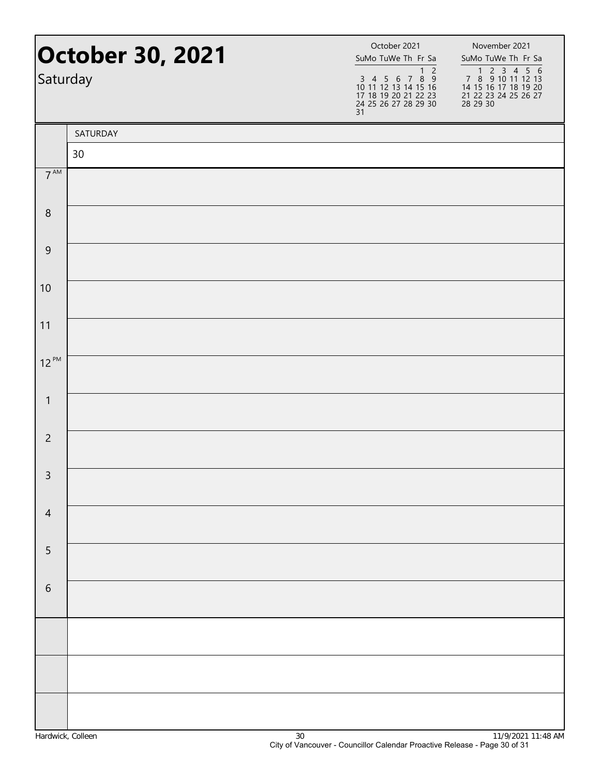| <b>October 30, 2021</b><br>Saturday |          | October 2021<br>SuMo TuWe Th Fr Sa<br>1 <sub>2</sub><br>3 4 5 6 7 8 9<br>10 11 12 13 14 15 16<br>17 18 19 20 21 22 23<br>24 25 26 27 28 29 30<br>31 | November 2021<br>SuMo TuWe Th Fr Sa<br>7 8 9 10 11 12 13<br>14 15 16 17 18 19 20<br>21 22 23 24 25 26 27<br>28 29 30 |
|-------------------------------------|----------|-----------------------------------------------------------------------------------------------------------------------------------------------------|----------------------------------------------------------------------------------------------------------------------|
|                                     | SATURDAY |                                                                                                                                                     |                                                                                                                      |
|                                     | 30       |                                                                                                                                                     |                                                                                                                      |
| $7^{\text{AM}}$                     |          |                                                                                                                                                     |                                                                                                                      |
| $\,8\,$                             |          |                                                                                                                                                     |                                                                                                                      |
| $\overline{9}$                      |          |                                                                                                                                                     |                                                                                                                      |
| 10                                  |          |                                                                                                                                                     |                                                                                                                      |
| 11                                  |          |                                                                                                                                                     |                                                                                                                      |
| $12^{PM}$                           |          |                                                                                                                                                     |                                                                                                                      |
| $\mathbf{1}$                        |          |                                                                                                                                                     |                                                                                                                      |
| $\overline{2}$                      |          |                                                                                                                                                     |                                                                                                                      |
| $\overline{3}$                      |          |                                                                                                                                                     |                                                                                                                      |
| $\overline{4}$                      |          |                                                                                                                                                     |                                                                                                                      |
| 5                                   |          |                                                                                                                                                     |                                                                                                                      |
| $\sqrt{6}$                          |          |                                                                                                                                                     |                                                                                                                      |
|                                     |          |                                                                                                                                                     |                                                                                                                      |
|                                     |          |                                                                                                                                                     |                                                                                                                      |
|                                     |          |                                                                                                                                                     |                                                                                                                      |